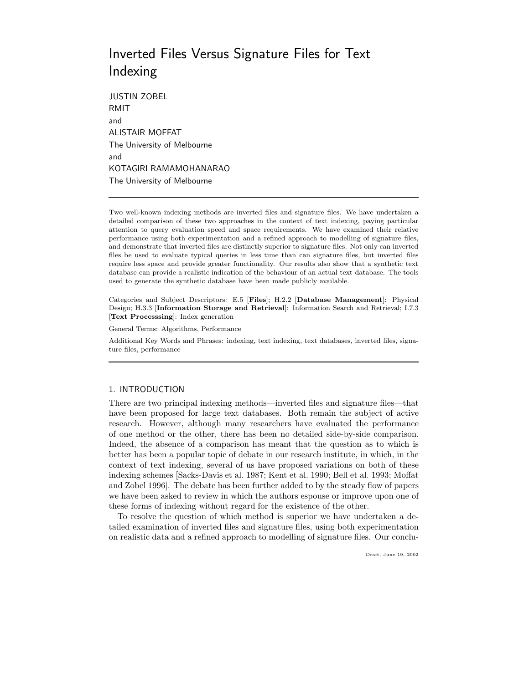# Inverted Files Versus Signature Files for Text Indexing

JUSTIN ZOBEL RMIT and ALISTAIR MOFFAT The University of Melbourne and KOTAGIRI RAMAMOHANARAO The University of Melbourne

Two well-known indexing methods are inverted files and signature files. We have undertaken a detailed comparison of these two approaches in the context of text indexing, paying particular attention to query evaluation speed and space requirements. We have examined their relative performance using both experimentation and a refined approach to modelling of signature files, and demonstrate that inverted files are distinctly superior to signature files. Not only can inverted files be used to evaluate typical queries in less time than can signature files, but inverted files require less space and provide greater functionality. Our results also show that a synthetic text database can provide a realistic indication of the behaviour of an actual text database. The tools used to generate the synthetic database have been made publicly available.

Categories and Subject Descriptors: E.5 [**Files**]; H.2.2 [**Database Management**]: Physical Design; H.3.3 [**Information Storage and Retrieval**]: Information Search and Retrieval; I.7.3 [**Text Processsing**]: Index generation

General Terms: Algorithms, Performance

Additional Key Words and Phrases: indexing, text indexing, text databases, inverted files, signature files, performance

# 1. INTRODUCTION

There are two principal indexing methods—inverted files and signature files—that have been proposed for large text databases. Both remain the subject of active research. However, although many researchers have evaluated the performance of one method or the other, there has been no detailed side-by-side comparison. Indeed, the absence of a comparison has meant that the question as to which is better has been a popular topic of debate in our research institute, in which, in the context of text indexing, several of us have proposed variations on both of these indexing schemes [Sacks-Davis et al. 1987; Kent et al. 1990; Bell et al. 1993; Moffat and Zobel 1996]. The debate has been further added to by the steady flow of papers we have been asked to review in which the authors espouse or improve upon one of these forms of indexing without regard for the existence of the other.

To resolve the question of which method is superior we have undertaken a detailed examination of inverted files and signature files, using both experimentation on realistic data and a refined approach to modelling of signature files. Our conclu-

Draft, June 19, 2002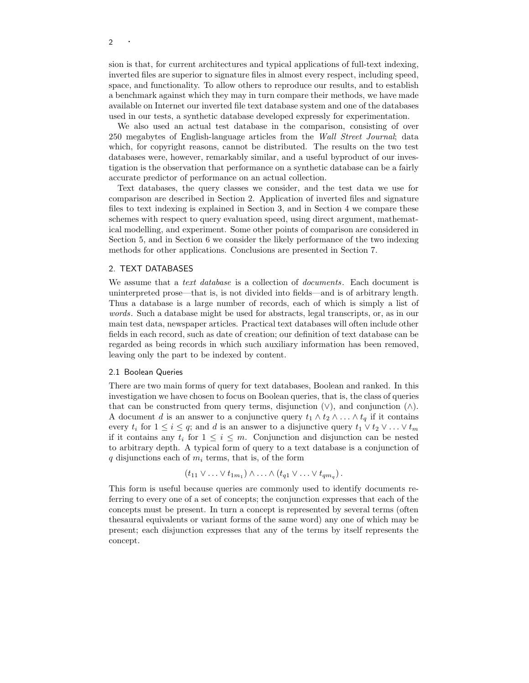sion is that, for current architectures and typical applications of full-text indexing, inverted files are superior to signature files in almost every respect, including speed, space, and functionality. To allow others to reproduce our results, and to establish a benchmark against which they may in turn compare their methods, we have made available on Internet our inverted file text database system and one of the databases used in our tests, a synthetic database developed expressly for experimentation.

We also used an actual test database in the comparison, consisting of over 250 megabytes of English-language articles from the *Wall Street Journal*; data which, for copyright reasons, cannot be distributed. The results on the two test databases were, however, remarkably similar, and a useful byproduct of our investigation is the observation that performance on a synthetic database can be a fairly accurate predictor of performance on an actual collection.

Text databases, the query classes we consider, and the test data we use for comparison are described in Section 2. Application of inverted files and signature files to text indexing is explained in Section 3, and in Section 4 we compare these schemes with respect to query evaluation speed, using direct argument, mathematical modelling, and experiment. Some other points of comparison are considered in Section 5, and in Section 6 we consider the likely performance of the two indexing methods for other applications. Conclusions are presented in Section 7.

# 2. TEXT DATABASES

We assume that a *text database* is a collection of *documents*. Each document is uninterpreted prose—that is, is not divided into fields—and is of arbitrary length. Thus a database is a large number of records, each of which is simply a list of *words*. Such a database might be used for abstracts, legal transcripts, or, as in our main test data, newspaper articles. Practical text databases will often include other fields in each record, such as date of creation; our definition of text database can be regarded as being records in which such auxiliary information has been removed, leaving only the part to be indexed by content.

#### 2.1 Boolean Queries

There are two main forms of query for text databases, Boolean and ranked. In this investigation we have chosen to focus on Boolean queries, that is, the class of queries that can be constructed from query terms, disjunction  $(V)$ , and conjunction  $(\wedge)$ . A document d is an answer to a conjunctive query  $t_1 \wedge t_2 \wedge \ldots \wedge t_q$  if it contains every  $t_i$  for  $1 \leq i \leq q$ ; and d is an answer to a disjunctive query  $t_1 \vee t_2 \vee \ldots \vee t_m$ if it contains any  $t_i$  for  $1 \leq i \leq m$ . Conjunction and disjunction can be nested to arbitrary depth. A typical form of query to a text database is a conjunction of q disjunctions each of  $m_i$  terms, that is, of the form

$$
(t_{11}\vee\ldots\vee t_{1m_1})\wedge\ldots\wedge(t_{q1}\vee\ldots\vee t_{qm_q}).
$$

This form is useful because queries are commonly used to identify documents referring to every one of a set of concepts; the conjunction expresses that each of the concepts must be present. In turn a concept is represented by several terms (often thesaural equivalents or variant forms of the same word) any one of which may be present; each disjunction expresses that any of the terms by itself represents the concept.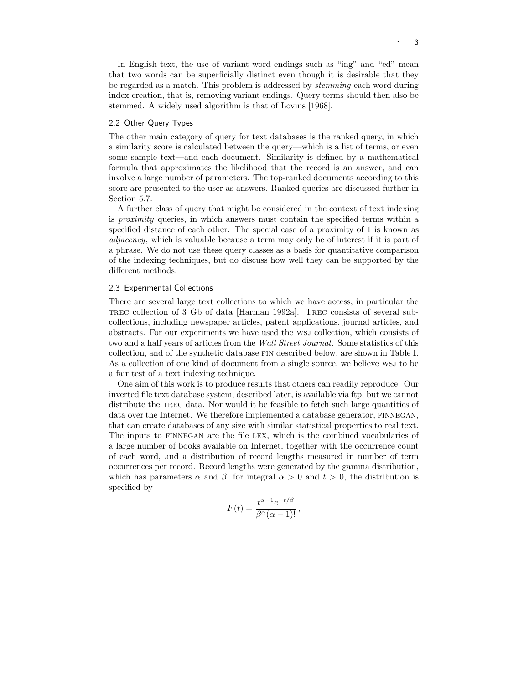In English text, the use of variant word endings such as "ing" and "ed" mean that two words can be superficially distinct even though it is desirable that they be regarded as a match. This problem is addressed by *stemming* each word during index creation, that is, removing variant endings. Query terms should then also be stemmed. A widely used algorithm is that of Lovins [1968].

## 2.2 Other Query Types

The other main category of query for text databases is the ranked query, in which a similarity score is calculated between the query—which is a list of terms, or even some sample text—and each document. Similarity is defined by a mathematical formula that approximates the likelihood that the record is an answer, and can involve a large number of parameters. The top-ranked documents according to this score are presented to the user as answers. Ranked queries are discussed further in Section 5.7.

A further class of query that might be considered in the context of text indexing is *proximity* queries, in which answers must contain the specified terms within a specified distance of each other. The special case of a proximity of 1 is known as *adjacency*, which is valuable because a term may only be of interest if it is part of a phrase. We do not use these query classes as a basis for quantitative comparison of the indexing techniques, but do discuss how well they can be supported by the different methods.

## 2.3 Experimental Collections

There are several large text collections to which we have access, in particular the trec collection of 3 Gb of data [Harman 1992a]. Trec consists of several subcollections, including newspaper articles, patent applications, journal articles, and abstracts. For our experiments we have used the wsj collection, which consists of two and a half years of articles from the *Wall Street Journal*. Some statistics of this collection, and of the synthetic database fin described below, are shown in Table I. As a collection of one kind of document from a single source, we believe wsj to be a fair test of a text indexing technique.

One aim of this work is to produce results that others can readily reproduce. Our inverted file text database system, described later, is available via ftp, but we cannot distribute the trec data. Nor would it be feasible to fetch such large quantities of data over the Internet. We therefore implemented a database generator, FINNEGAN, that can create databases of any size with similar statistical properties to real text. The inputs to finnegan are the file lex, which is the combined vocabularies of a large number of books available on Internet, together with the occurrence count of each word, and a distribution of record lengths measured in number of term occurrences per record. Record lengths were generated by the gamma distribution, which has parameters  $\alpha$  and  $\beta$ ; for integral  $\alpha > 0$  and  $t > 0$ , the distribution is specified by

$$
F(t) = \frac{t^{\alpha - 1} e^{-t/\beta}}{\beta^{\alpha} (\alpha - 1)!},
$$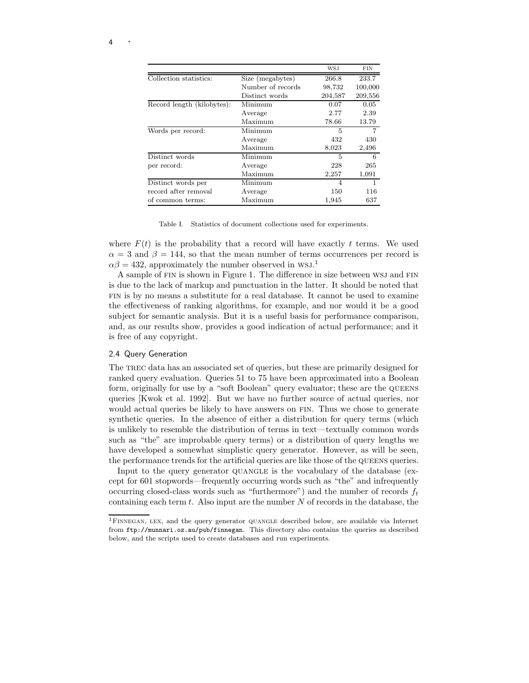|                            |                   | WSJ     | FIN     |
|----------------------------|-------------------|---------|---------|
| Collection statistics:     | Size (megabytes)  | 266.8   | 233.7   |
|                            | Number of records | 98,732  | 100,000 |
|                            | Distinct words    | 204,587 | 209,556 |
| Record length (kilobytes): | Minimum           | 0.07    | 0.05    |
|                            | Average           | 2.77    | 2.39    |
|                            | Maximum           | 78.66   | 13.79   |
| Words per record:          | Minimum           | 5       |         |
|                            | Average           | 432     | 430     |
|                            | Maximum           | 8,023   | 2,496   |
| Distinct words             | Minimum           | 5       | 6       |
| per record:                | Average           | 228     | 265     |
|                            | Maximum           | 2,257   | 1,091   |
| Distinct words per         | Minimum           | 4       |         |
| record after removal       | Average           | 150     | 116     |
| of common terms:           | Maximum           | 1,945   | 637     |

Table I. Statistics of document collections used for experiments.

where  $F(t)$  is the probability that a record will have exactly t terms. We used  $\alpha = 3$  and  $\beta = 144$ , so that the mean number of terms occurrences per record is  $\alpha\beta = 432$ , approximately the number observed in WSJ.<sup>1</sup>

A sample of fin is shown in Figure 1. The difference in size between wsj and fin is due to the lack of markup and punctuation in the latter. It should be noted that fin is by no means a substitute for a real database. It cannot be used to examine the effectiveness of ranking algorithms, for example, and nor would it be a good subject for semantic analysis. But it is a useful basis for performance comparison, and, as our results show, provides a good indication of actual performance; and it is free of any copyright.

# 2.4 Query Generation

The TREC data has an associated set of queries, but these are primarily designed for ranked query evaluation. Queries 51 to 75 have been approximated into a Boolean form, originally for use by a "soft Boolean" query evaluator; these are the QUEENS queries [Kwok et al. 1992]. But we have no further source of actual queries, nor would actual queries be likely to have answers on fin. Thus we chose to generate synthetic queries. In the absence of either a distribution for query terms (which is unlikely to resemble the distribution of terms in text—textually common words such as "the" are improbable query terms) or a distribution of query lengths we have developed a somewhat simplistic query generator. However, as will be seen, the performance trends for the artificial queries are like those of the QUEENS queries.

Input to the query generator QUANGLE is the vocabulary of the database (except for 601 stopwords—frequently occurring words such as "the" and infrequently occurring closed-class words such as "furthermore") and the number of records  $f_t$ containing each term  $t$ . Also input are the number  $N$  of records in the database, the

<sup>&</sup>lt;sup>1</sup>FINNEGAN, LEX, and the query generator QUANGLE described below, are available via Internet from ftp://munnari.oz.au/pub/finnegan. This directory also contains the queries as described below, and the scripts used to create databases and run experiments.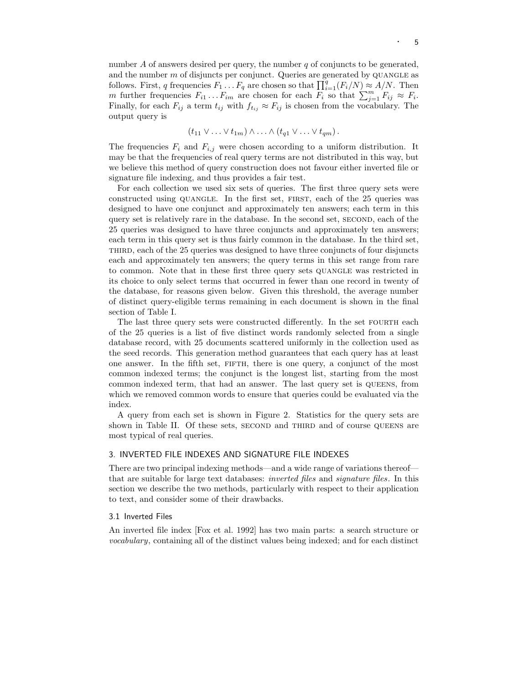number A of answers desired per query, the number  $q$  of conjuncts to be generated, and the number  $m$  of disjuncts per conjunct. Queries are generated by QUANGLE as follows. First, q frequencies  $F_1 \dots F_q$  are chosen so that  $\prod_{i=1}^q (F_i/N) \approx A/N$ . Then m further frequencies  $F_{i1} \ldots F_{im}$  are chosen for each  $\overline{F_i}$  so that  $\sum_{j=1}^m F_{ij} \approx F_i$ . Finally, for each  $F_{ij}$  a term  $t_{ij}$  with  $f_{t_{ij}} \approx F_{ij}$  is chosen from the vocabulary. The output query is

$$
(t_{11}\vee\ldots\vee t_{1m})\wedge\ldots\wedge(t_{q1}\vee\ldots\vee t_{qm}).
$$

The frequencies  $F_i$  and  $F_{i,j}$  were chosen according to a uniform distribution. It may be that the frequencies of real query terms are not distributed in this way, but we believe this method of query construction does not favour either inverted file or signature file indexing, and thus provides a fair test.

For each collection we used six sets of queries. The first three query sets were constructed using quangle. In the first set, first, each of the 25 queries was designed to have one conjunct and approximately ten answers; each term in this query set is relatively rare in the database. In the second set, second, each of the 25 queries was designed to have three conjuncts and approximately ten answers; each term in this query set is thus fairly common in the database. In the third set, third, each of the 25 queries was designed to have three conjuncts of four disjuncts each and approximately ten answers; the query terms in this set range from rare to common. Note that in these first three query sets quangle was restricted in its choice to only select terms that occurred in fewer than one record in twenty of the database, for reasons given below. Given this threshold, the average number of distinct query-eligible terms remaining in each document is shown in the final section of Table I.

The last three query sets were constructed differently. In the set FOURTH each of the 25 queries is a list of five distinct words randomly selected from a single database record, with 25 documents scattered uniformly in the collection used as the seed records. This generation method guarantees that each query has at least one answer. In the fifth set, FIFTH, there is one query, a conjunct of the most common indexed terms; the conjunct is the longest list, starting from the most common indexed term, that had an answer. The last query set is QUEENS, from which we removed common words to ensure that queries could be evaluated via the index.

A query from each set is shown in Figure 2. Statistics for the query sets are shown in Table II. Of these sets, SECOND and THIRD and of course QUEENS are most typical of real queries.

# 3. INVERTED FILE INDEXES AND SIGNATURE FILE INDEXES

There are two principal indexing methods—and a wide range of variations thereof that are suitable for large text databases: *inverted files* and *signature files*. In this section we describe the two methods, particularly with respect to their application to text, and consider some of their drawbacks.

## 3.1 Inverted Files

An inverted file index [Fox et al. 1992] has two main parts: a search structure or *vocabulary*, containing all of the distinct values being indexed; and for each distinct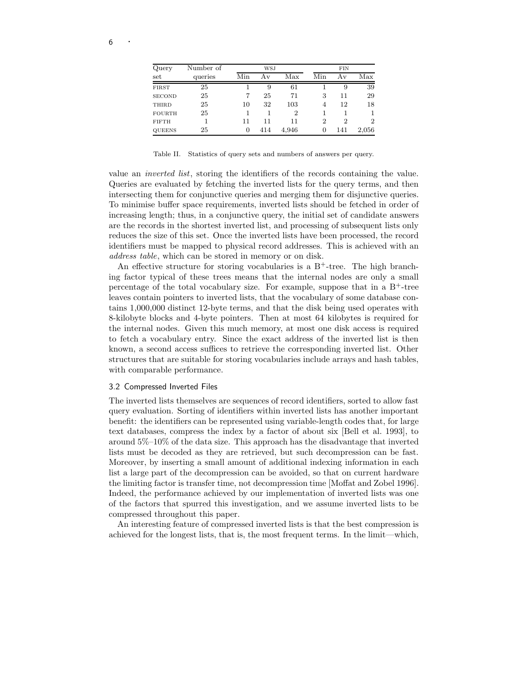| Query         | Number of |     | WSJ |       |                | <b>FIN</b> |                |
|---------------|-----------|-----|-----|-------|----------------|------------|----------------|
| set           | queries   | Min | Av  | Max   | Min            | Av         | Max            |
| <b>FIRST</b>  | 25        |     | 9   | 61    |                | 9          | 39             |
| SECOND        | 25        |     | 25  | 71    | 3              | 11         | 29             |
| THIRD         | 25        | 10  | 32  | 103   | 4              | 12         | 18             |
| FOURTH        | 25        |     |     | 2     |                |            | 1              |
| <b>FIFTH</b>  |           | 11  | 11  | 11    | $\overline{2}$ | 2          | $\overline{2}$ |
| <b>QUEENS</b> | 25        | 0   | 414 | 4,946 | 0              | 141        | 2,056          |

Table II. Statistics of query sets and numbers of answers per query.

value an *inverted list*, storing the identifiers of the records containing the value. Queries are evaluated by fetching the inverted lists for the query terms, and then intersecting them for conjunctive queries and merging them for disjunctive queries. To minimise buffer space requirements, inverted lists should be fetched in order of increasing length; thus, in a conjunctive query, the initial set of candidate answers are the records in the shortest inverted list, and processing of subsequent lists only reduces the size of this set. Once the inverted lists have been processed, the record identifiers must be mapped to physical record addresses. This is achieved with an *address table*, which can be stored in memory or on disk.

An effective structure for storing vocabularies is a  $B^+$ -tree. The high branching factor typical of these trees means that the internal nodes are only a small percentage of the total vocabulary size. For example, suppose that in a  $B^+$ -tree leaves contain pointers to inverted lists, that the vocabulary of some database contains 1,000,000 distinct 12-byte terms, and that the disk being used operates with 8-kilobyte blocks and 4-byte pointers. Then at most 64 kilobytes is required for the internal nodes. Given this much memory, at most one disk access is required to fetch a vocabulary entry. Since the exact address of the inverted list is then known, a second access suffices to retrieve the corresponding inverted list. Other structures that are suitable for storing vocabularies include arrays and hash tables, with comparable performance.

#### 3.2 Compressed Inverted Files

The inverted lists themselves are sequences of record identifiers, sorted to allow fast query evaluation. Sorting of identifiers within inverted lists has another important benefit: the identifiers can be represented using variable-length codes that, for large text databases, compress the index by a factor of about six [Bell et al. 1993], to around 5%–10% of the data size. This approach has the disadvantage that inverted lists must be decoded as they are retrieved, but such decompression can be fast. Moreover, by inserting a small amount of additional indexing information in each list a large part of the decompression can be avoided, so that on current hardware the limiting factor is transfer time, not decompression time [Moffat and Zobel 1996]. Indeed, the performance achieved by our implementation of inverted lists was one of the factors that spurred this investigation, and we assume inverted lists to be compressed throughout this paper.

An interesting feature of compressed inverted lists is that the best compression is achieved for the longest lists, that is, the most frequent terms. In the limit—which,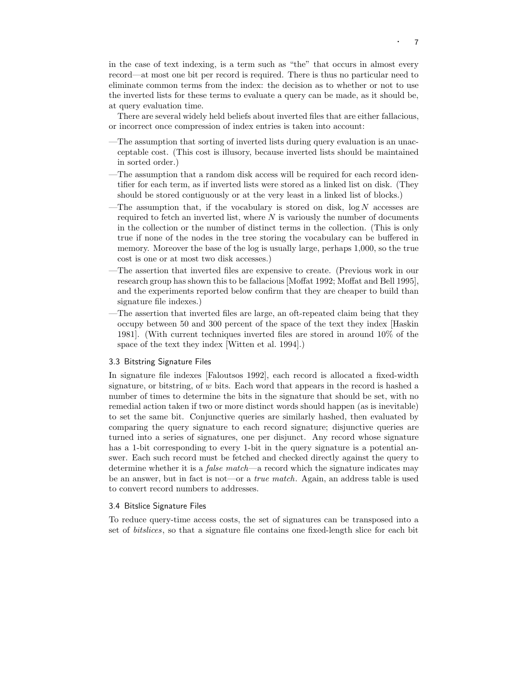in the case of text indexing, is a term such as "the" that occurs in almost every record—at most one bit per record is required. There is thus no particular need to eliminate common terms from the index: the decision as to whether or not to use the inverted lists for these terms to evaluate a query can be made, as it should be, at query evaluation time.

There are several widely held beliefs about inverted files that are either fallacious, or incorrect once compression of index entries is taken into account:

- —The assumption that sorting of inverted lists during query evaluation is an unacceptable cost. (This cost is illusory, because inverted lists should be maintained in sorted order.)
- —The assumption that a random disk access will be required for each record identifier for each term, as if inverted lists were stored as a linked list on disk. (They should be stored contiguously or at the very least in a linked list of blocks.)
- The assumption that, if the vocabulary is stored on disk,  $log N$  accesses are required to fetch an inverted list, where  $N$  is variously the number of documents in the collection or the number of distinct terms in the collection. (This is only true if none of the nodes in the tree storing the vocabulary can be buffered in memory. Moreover the base of the log is usually large, perhaps 1,000, so the true cost is one or at most two disk accesses.)
- —The assertion that inverted files are expensive to create. (Previous work in our research group has shown this to be fallacious [Moffat 1992; Moffat and Bell 1995], and the experiments reported below confirm that they are cheaper to build than signature file indexes.)
- —The assertion that inverted files are large, an oft-repeated claim being that they occupy between 50 and 300 percent of the space of the text they index [Haskin 1981]. (With current techniques inverted files are stored in around 10% of the space of the text they index [Witten et al. 1994].)

## 3.3 Bitstring Signature Files

In signature file indexes [Faloutsos 1992], each record is allocated a fixed-width signature, or bitstring, of  $w$  bits. Each word that appears in the record is hashed a number of times to determine the bits in the signature that should be set, with no remedial action taken if two or more distinct words should happen (as is inevitable) to set the same bit. Conjunctive queries are similarly hashed, then evaluated by comparing the query signature to each record signature; disjunctive queries are turned into a series of signatures, one per disjunct. Any record whose signature has a 1-bit corresponding to every 1-bit in the query signature is a potential answer. Each such record must be fetched and checked directly against the query to determine whether it is a *false match*—a record which the signature indicates may be an answer, but in fact is not—or a *true match*. Again, an address table is used to convert record numbers to addresses.

## 3.4 Bitslice Signature Files

To reduce query-time access costs, the set of signatures can be transposed into a set of *bitslices*, so that a signature file contains one fixed-length slice for each bit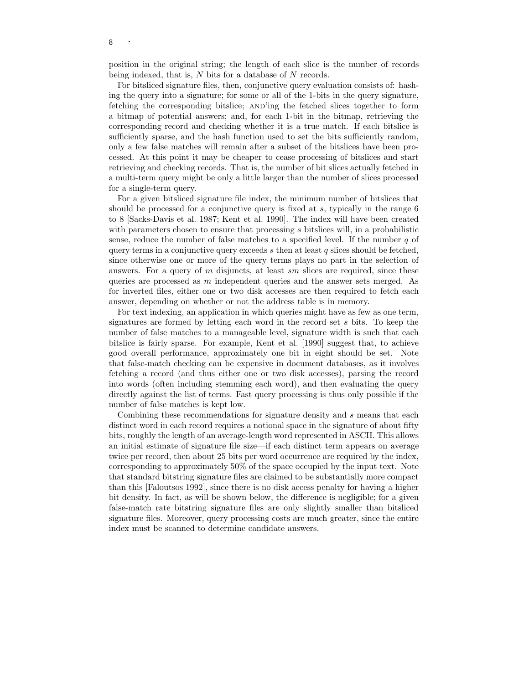position in the original string; the length of each slice is the number of records being indexed, that is, N bits for a database of N records.

For bitsliced signature files, then, conjunctive query evaluation consists of: hashing the query into a signature; for some or all of the 1-bits in the query signature, fetching the corresponding bitslice; and'ing the fetched slices together to form a bitmap of potential answers; and, for each 1-bit in the bitmap, retrieving the corresponding record and checking whether it is a true match. If each bitslice is sufficiently sparse, and the hash function used to set the bits sufficiently random, only a few false matches will remain after a subset of the bitslices have been processed. At this point it may be cheaper to cease processing of bitslices and start retrieving and checking records. That is, the number of bit slices actually fetched in a multi-term query might be only a little larger than the number of slices processed for a single-term query.

For a given bitsliced signature file index, the minimum number of bitslices that should be processed for a conjunctive query is fixed at s, typically in the range 6 to 8 [Sacks-Davis et al. 1987; Kent et al. 1990]. The index will have been created with parameters chosen to ensure that processing s bitslices will, in a probabilistic sense, reduce the number of false matches to a specified level. If the number  $q$  of query terms in a conjunctive query exceeds s then at least  $q$  slices should be fetched, since otherwise one or more of the query terms plays no part in the selection of answers. For a query of  $m$  disjuncts, at least  $sm$  slices are required, since these queries are processed as m independent queries and the answer sets merged. As for inverted files, either one or two disk accesses are then required to fetch each answer, depending on whether or not the address table is in memory.

For text indexing, an application in which queries might have as few as one term, signatures are formed by letting each word in the record set s bits. To keep the number of false matches to a manageable level, signature width is such that each bitslice is fairly sparse. For example, Kent et al. [1990] suggest that, to achieve good overall performance, approximately one bit in eight should be set. Note that false-match checking can be expensive in document databases, as it involves fetching a record (and thus either one or two disk accesses), parsing the record into words (often including stemming each word), and then evaluating the query directly against the list of terms. Fast query processing is thus only possible if the number of false matches is kept low.

Combining these recommendations for signature density and s means that each distinct word in each record requires a notional space in the signature of about fifty bits, roughly the length of an average-length word represented in ASCII. This allows an initial estimate of signature file size—if each distinct term appears on average twice per record, then about 25 bits per word occurrence are required by the index, corresponding to approximately 50% of the space occupied by the input text. Note that standard bitstring signature files are claimed to be substantially more compact than this [Faloutsos 1992], since there is no disk access penalty for having a higher bit density. In fact, as will be shown below, the difference is negligible; for a given false-match rate bitstring signature files are only slightly smaller than bitsliced signature files. Moreover, query processing costs are much greater, since the entire index must be scanned to determine candidate answers.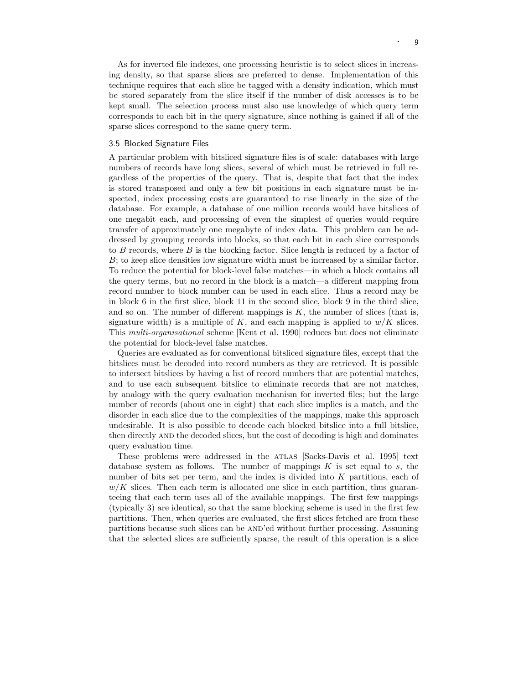As for inverted file indexes, one processing heuristic is to select slices in increasing density, so that sparse slices are preferred to dense. Implementation of this technique requires that each slice be tagged with a density indication, which must be stored separately from the slice itself if the number of disk accesses is to be kept small. The selection process must also use knowledge of which query term corresponds to each bit in the query signature, since nothing is gained if all of the sparse slices correspond to the same query term.

## 3.5 Blocked Signature Files

A particular problem with bitsliced signature files is of scale: databases with large numbers of records have long slices, several of which must be retrieved in full regardless of the properties of the query. That is, despite that fact that the index is stored transposed and only a few bit positions in each signature must be inspected, index processing costs are guaranteed to rise linearly in the size of the database. For example, a database of one million records would have bitslices of one megabit each, and processing of even the simplest of queries would require transfer of approximately one megabyte of index data. This problem can be addressed by grouping records into blocks, so that each bit in each slice corresponds to  $B$  records, where  $B$  is the blocking factor. Slice length is reduced by a factor of B; to keep slice densities low signature width must be increased by a similar factor. To reduce the potential for block-level false matches—in which a block contains all the query terms, but no record in the block is a match—a different mapping from record number to block number can be used in each slice. Thus a record may be in block 6 in the first slice, block 11 in the second slice, block 9 in the third slice, and so on. The number of different mappings is  $K$ , the number of slices (that is, signature width) is a multiple of  $K$ , and each mapping is applied to  $w/K$  slices. This *multi-organisational* scheme [Kent et al. 1990] reduces but does not eliminate the potential for block-level false matches.

Queries are evaluated as for conventional bitsliced signature files, except that the bitslices must be decoded into record numbers as they are retrieved. It is possible to intersect bitslices by having a list of record numbers that are potential matches, and to use each subsequent bitslice to eliminate records that are not matches, by analogy with the query evaluation mechanism for inverted files; but the large number of records (about one in eight) that each slice implies is a match, and the disorder in each slice due to the complexities of the mappings, make this approach undesirable. It is also possible to decode each blocked bitslice into a full bitslice, then directly AND the decoded slices, but the cost of decoding is high and dominates query evaluation time.

These problems were addressed in the ATLAS Sacks-Davis et al. 1995 text database system as follows. The number of mappings  $K$  is set equal to  $s$ , the number of bits set per term, and the index is divided into K partitions, each of  $w/K$  slices. Then each term is allocated one slice in each partition, thus guaranteeing that each term uses all of the available mappings. The first few mappings (typically 3) are identical, so that the same blocking scheme is used in the first few partitions. Then, when queries are evaluated, the first slices fetched are from these partitions because such slices can be and'ed without further processing. Assuming that the selected slices are sufficiently sparse, the result of this operation is a slice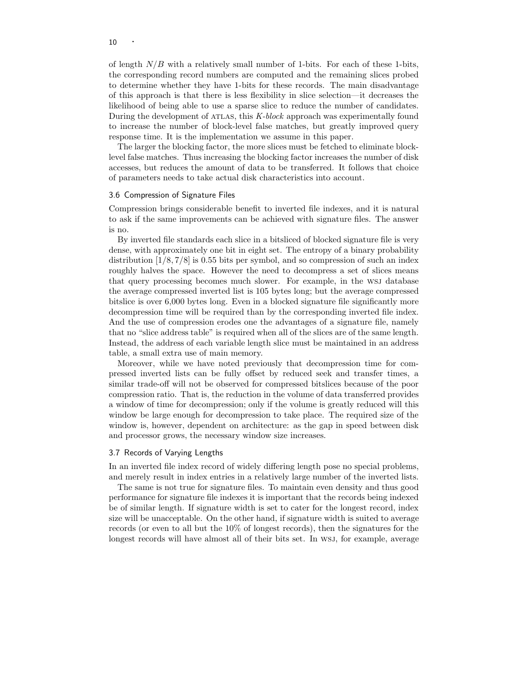of length  $N/B$  with a relatively small number of 1-bits. For each of these 1-bits, the corresponding record numbers are computed and the remaining slices probed to determine whether they have 1-bits for these records. The main disadvantage of this approach is that there is less flexibility in slice selection—it decreases the likelihood of being able to use a sparse slice to reduce the number of candidates. During the development of atlas, this *K-block* approach was experimentally found to increase the number of block-level false matches, but greatly improved query response time. It is the implementation we assume in this paper.

The larger the blocking factor, the more slices must be fetched to eliminate blocklevel false matches. Thus increasing the blocking factor increases the number of disk accesses, but reduces the amount of data to be transferred. It follows that choice of parameters needs to take actual disk characteristics into account.

## 3.6 Compression of Signature Files

Compression brings considerable benefit to inverted file indexes, and it is natural to ask if the same improvements can be achieved with signature files. The answer is no.

By inverted file standards each slice in a bitsliced of blocked signature file is very dense, with approximately one bit in eight set. The entropy of a binary probability distribution  $[1/8, 7/8]$  is 0.55 bits per symbol, and so compression of such an index roughly halves the space. However the need to decompress a set of slices means that query processing becomes much slower. For example, in the wsj database the average compressed inverted list is 105 bytes long; but the average compressed bitslice is over 6,000 bytes long. Even in a blocked signature file significantly more decompression time will be required than by the corresponding inverted file index. And the use of compression erodes one the advantages of a signature file, namely that no "slice address table" is required when all of the slices are of the same length. Instead, the address of each variable length slice must be maintained in an address table, a small extra use of main memory.

Moreover, while we have noted previously that decompression time for compressed inverted lists can be fully offset by reduced seek and transfer times, a similar trade-off will not be observed for compressed bitslices because of the poor compression ratio. That is, the reduction in the volume of data transferred provides a window of time for decompression; only if the volume is greatly reduced will this window be large enough for decompression to take place. The required size of the window is, however, dependent on architecture: as the gap in speed between disk and processor grows, the necessary window size increases.

#### 3.7 Records of Varying Lengths

In an inverted file index record of widely differing length pose no special problems, and merely result in index entries in a relatively large number of the inverted lists.

The same is not true for signature files. To maintain even density and thus good performance for signature file indexes it is important that the records being indexed be of similar length. If signature width is set to cater for the longest record, index size will be unacceptable. On the other hand, if signature width is suited to average records (or even to all but the 10% of longest records), then the signatures for the longest records will have almost all of their bits set. In WSJ, for example, average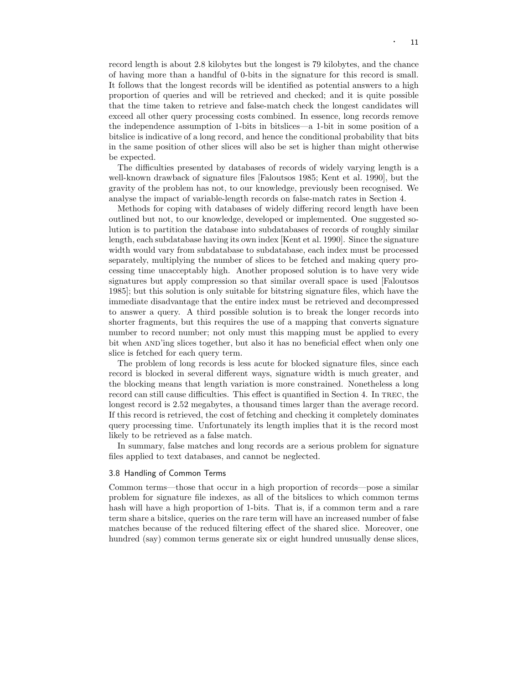record length is about 2.8 kilobytes but the longest is 79 kilobytes, and the chance of having more than a handful of 0-bits in the signature for this record is small. It follows that the longest records will be identified as potential answers to a high proportion of queries and will be retrieved and checked; and it is quite possible that the time taken to retrieve and false-match check the longest candidates will exceed all other query processing costs combined. In essence, long records remove the independence assumption of 1-bits in bitslices—a 1-bit in some position of a bitslice is indicative of a long record, and hence the conditional probability that bits in the same position of other slices will also be set is higher than might otherwise be expected.

The difficulties presented by databases of records of widely varying length is a well-known drawback of signature files [Faloutsos 1985; Kent et al. 1990], but the gravity of the problem has not, to our knowledge, previously been recognised. We analyse the impact of variable-length records on false-match rates in Section 4.

Methods for coping with databases of widely differing record length have been outlined but not, to our knowledge, developed or implemented. One suggested solution is to partition the database into subdatabases of records of roughly similar length, each subdatabase having its own index [Kent et al. 1990]. Since the signature width would vary from subdatabase to subdatabase, each index must be processed separately, multiplying the number of slices to be fetched and making query processing time unacceptably high. Another proposed solution is to have very wide signatures but apply compression so that similar overall space is used [Faloutsos 1985]; but this solution is only suitable for bitstring signature files, which have the immediate disadvantage that the entire index must be retrieved and decompressed to answer a query. A third possible solution is to break the longer records into shorter fragments, but this requires the use of a mapping that converts signature number to record number; not only must this mapping must be applied to every bit when AND'ing slices together, but also it has no beneficial effect when only one slice is fetched for each query term.

The problem of long records is less acute for blocked signature files, since each record is blocked in several different ways, signature width is much greater, and the blocking means that length variation is more constrained. Nonetheless a long record can still cause difficulties. This effect is quantified in Section 4. In trec, the longest record is 2.52 megabytes, a thousand times larger than the average record. If this record is retrieved, the cost of fetching and checking it completely dominates query processing time. Unfortunately its length implies that it is the record most likely to be retrieved as a false match.

In summary, false matches and long records are a serious problem for signature files applied to text databases, and cannot be neglected.

## 3.8 Handling of Common Terms

Common terms—those that occur in a high proportion of records—pose a similar problem for signature file indexes, as all of the bitslices to which common terms hash will have a high proportion of 1-bits. That is, if a common term and a rare term share a bitslice, queries on the rare term will have an increased number of false matches because of the reduced filtering effect of the shared slice. Moreover, one hundred (say) common terms generate six or eight hundred unusually dense slices,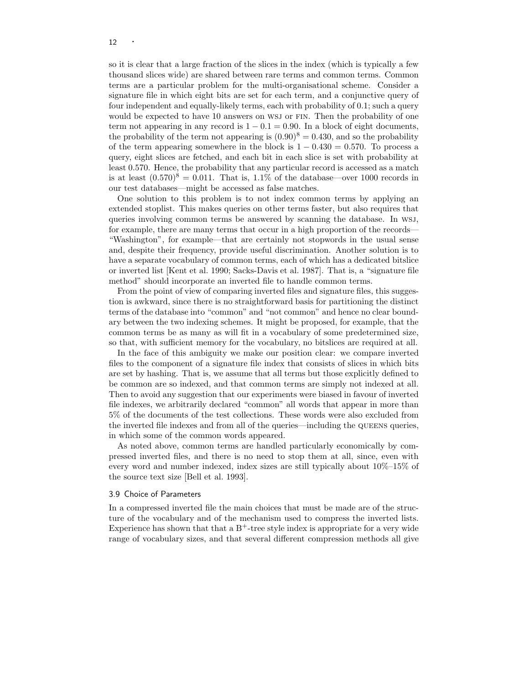so it is clear that a large fraction of the slices in the index (which is typically a few thousand slices wide) are shared between rare terms and common terms. Common terms are a particular problem for the multi-organisational scheme. Consider a signature file in which eight bits are set for each term, and a conjunctive query of four independent and equally-likely terms, each with probability of 0.1; such a query would be expected to have 10 answers on WSJ or FIN. Then the probability of one term not appearing in any record is  $1 - 0.1 = 0.90$ . In a block of eight documents, the probability of the term not appearing is  $(0.90)^8 = 0.430$ , and so the probability of the term appearing somewhere in the block is  $1 - 0.430 = 0.570$ . To process a query, eight slices are fetched, and each bit in each slice is set with probability at least 0.570. Hence, the probability that any particular record is accessed as a match is at least  $(0.570)^8 = 0.011$ . That is, 1.1% of the database—over 1000 records in our test databases—might be accessed as false matches.

One solution to this problem is to not index common terms by applying an extended stoplist. This makes queries on other terms faster, but also requires that queries involving common terms be answered by scanning the database. In wsj, for example, there are many terms that occur in a high proportion of the records— "Washington", for example—that are certainly not stopwords in the usual sense and, despite their frequency, provide useful discrimination. Another solution is to have a separate vocabulary of common terms, each of which has a dedicated bitslice or inverted list [Kent et al. 1990; Sacks-Davis et al. 1987]. That is, a "signature file method" should incorporate an inverted file to handle common terms.

From the point of view of comparing inverted files and signature files, this suggestion is awkward, since there is no straightforward basis for partitioning the distinct terms of the database into "common" and "not common" and hence no clear boundary between the two indexing schemes. It might be proposed, for example, that the common terms be as many as will fit in a vocabulary of some predetermined size, so that, with sufficient memory for the vocabulary, no bitslices are required at all.

In the face of this ambiguity we make our position clear: we compare inverted files to the component of a signature file index that consists of slices in which bits are set by hashing. That is, we assume that all terms but those explicitly defined to be common are so indexed, and that common terms are simply not indexed at all. Then to avoid any suggestion that our experiments were biased in favour of inverted file indexes, we arbitrarily declared "common" all words that appear in more than 5% of the documents of the test collections. These words were also excluded from the inverted file indexes and from all of the queries—including the QUEENS queries, in which some of the common words appeared.

As noted above, common terms are handled particularly economically by compressed inverted files, and there is no need to stop them at all, since, even with every word and number indexed, index sizes are still typically about 10%–15% of the source text size [Bell et al. 1993].

## 3.9 Choice of Parameters

In a compressed inverted file the main choices that must be made are of the structure of the vocabulary and of the mechanism used to compress the inverted lists. Experience has shown that that a  $B^+$ -tree style index is appropriate for a very wide range of vocabulary sizes, and that several different compression methods all give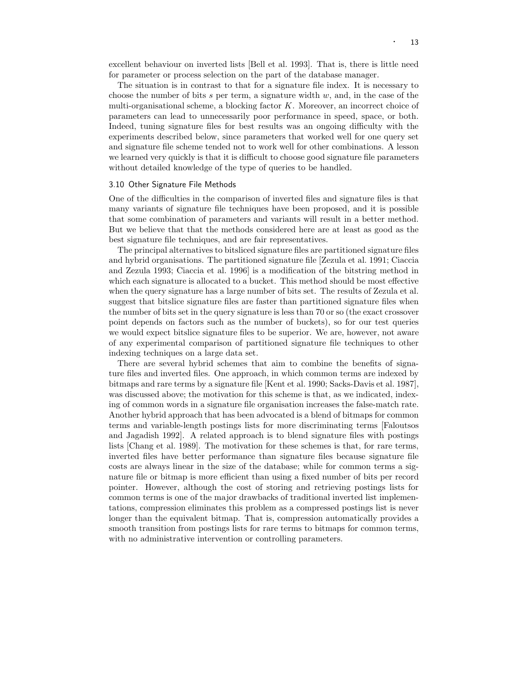excellent behaviour on inverted lists [Bell et al. 1993]. That is, there is little need for parameter or process selection on the part of the database manager.

The situation is in contrast to that for a signature file index. It is necessary to choose the number of bits s per term, a signature width  $w$ , and, in the case of the multi-organisational scheme, a blocking factor K. Moreover, an incorrect choice of parameters can lead to unnecessarily poor performance in speed, space, or both. Indeed, tuning signature files for best results was an ongoing difficulty with the experiments described below, since parameters that worked well for one query set and signature file scheme tended not to work well for other combinations. A lesson we learned very quickly is that it is difficult to choose good signature file parameters without detailed knowledge of the type of queries to be handled.

# 3.10 Other Signature File Methods

One of the difficulties in the comparison of inverted files and signature files is that many variants of signature file techniques have been proposed, and it is possible that some combination of parameters and variants will result in a better method. But we believe that that the methods considered here are at least as good as the best signature file techniques, and are fair representatives.

The principal alternatives to bitsliced signature files are partitioned signature files and hybrid organisations. The partitioned signature file [Zezula et al. 1991; Ciaccia and Zezula 1993; Ciaccia et al. 1996] is a modification of the bitstring method in which each signature is allocated to a bucket. This method should be most effective when the query signature has a large number of bits set. The results of Zezula et al. suggest that bitslice signature files are faster than partitioned signature files when the number of bits set in the query signature is less than 70 or so (the exact crossover point depends on factors such as the number of buckets), so for our test queries we would expect bitslice signature files to be superior. We are, however, not aware of any experimental comparison of partitioned signature file techniques to other indexing techniques on a large data set.

There are several hybrid schemes that aim to combine the benefits of signature files and inverted files. One approach, in which common terms are indexed by bitmaps and rare terms by a signature file [Kent et al. 1990; Sacks-Davis et al. 1987], was discussed above; the motivation for this scheme is that, as we indicated, indexing of common words in a signature file organisation increases the false-match rate. Another hybrid approach that has been advocated is a blend of bitmaps for common terms and variable-length postings lists for more discriminating terms [Faloutsos and Jagadish 1992]. A related approach is to blend signature files with postings lists [Chang et al. 1989]. The motivation for these schemes is that, for rare terms, inverted files have better performance than signature files because signature file costs are always linear in the size of the database; while for common terms a signature file or bitmap is more efficient than using a fixed number of bits per record pointer. However, although the cost of storing and retrieving postings lists for common terms is one of the major drawbacks of traditional inverted list implementations, compression eliminates this problem as a compressed postings list is never longer than the equivalent bitmap. That is, compression automatically provides a smooth transition from postings lists for rare terms to bitmaps for common terms, with no administrative intervention or controlling parameters.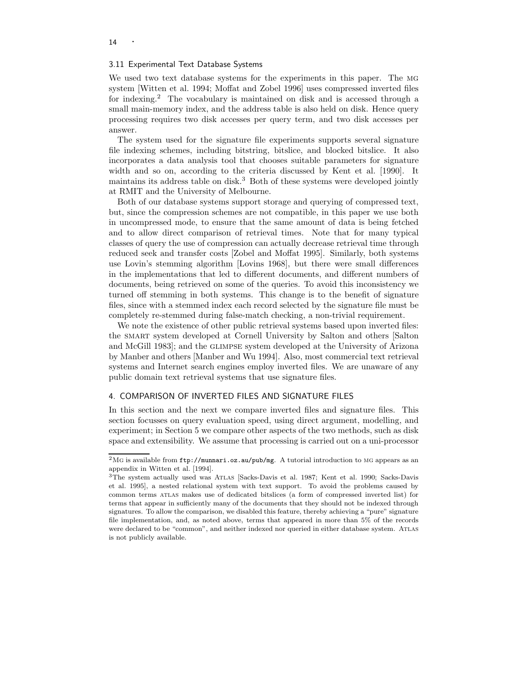# 3.11 Experimental Text Database Systems

We used two text database systems for the experiments in this paper. The mg system [Witten et al. 1994; Moffat and Zobel 1996] uses compressed inverted files for indexing.<sup>2</sup> The vocabulary is maintained on disk and is accessed through a small main-memory index, and the address table is also held on disk. Hence query processing requires two disk accesses per query term, and two disk accesses per answer.

The system used for the signature file experiments supports several signature file indexing schemes, including bitstring, bitslice, and blocked bitslice. It also incorporates a data analysis tool that chooses suitable parameters for signature width and so on, according to the criteria discussed by Kent et al. [1990]. It maintains its address table on disk.<sup>3</sup> Both of these systems were developed jointly at RMIT and the University of Melbourne.

Both of our database systems support storage and querying of compressed text, but, since the compression schemes are not compatible, in this paper we use both in uncompressed mode, to ensure that the same amount of data is being fetched and to allow direct comparison of retrieval times. Note that for many typical classes of query the use of compression can actually decrease retrieval time through reduced seek and transfer costs [Zobel and Moffat 1995]. Similarly, both systems use Lovin's stemming algorithm [Lovins 1968], but there were small differences in the implementations that led to different documents, and different numbers of documents, being retrieved on some of the queries. To avoid this inconsistency we turned off stemming in both systems. This change is to the benefit of signature files, since with a stemmed index each record selected by the signature file must be completely re-stemmed during false-match checking, a non-trivial requirement.

We note the existence of other public retrieval systems based upon inverted files: the smart system developed at Cornell University by Salton and others [Salton and McGill 1983]; and the glimpse system developed at the University of Arizona by Manber and others [Manber and Wu 1994]. Also, most commercial text retrieval systems and Internet search engines employ inverted files. We are unaware of any public domain text retrieval systems that use signature files.

## 4. COMPARISON OF INVERTED FILES AND SIGNATURE FILES

In this section and the next we compare inverted files and signature files. This section focusses on query evaluation speed, using direct argument, modelling, and experiment; in Section 5 we compare other aspects of the two methods, such as disk space and extensibility. We assume that processing is carried out on a uni-processor

<sup>&</sup>lt;sup>2</sup>Mg is available from  $ftp://munnari.oz.au/public/g.$  A tutorial introduction to Mg appears as an appendix in Witten et al. [1994].

<sup>3</sup>The system actually used was Atlas [Sacks-Davis et al. 1987; Kent et al. 1990; Sacks-Davis et al. 1995], a nested relational system with text support. To avoid the problems caused by common terms atlas makes use of dedicated bitslices (a form of compressed inverted list) for terms that appear in sufficiently many of the documents that they should not be indexed through signatures. To allow the comparison, we disabled this feature, thereby achieving a "pure" signature file implementation, and, as noted above, terms that appeared in more than 5% of the records were declared to be "common", and neither indexed nor queried in either database system. Atlas is not publicly available.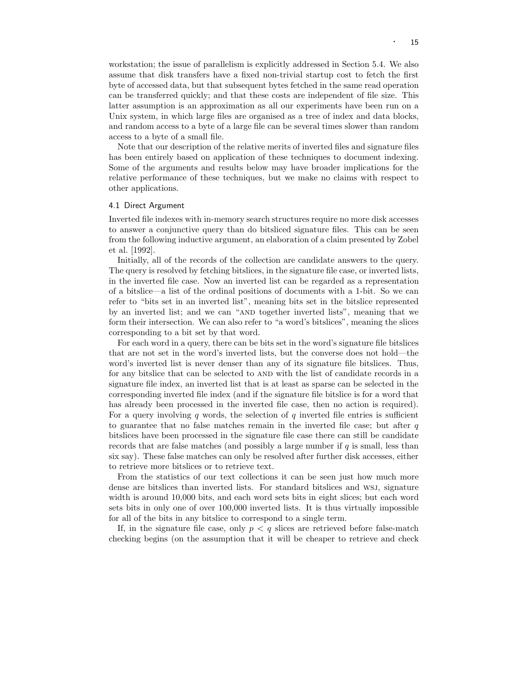workstation; the issue of parallelism is explicitly addressed in Section 5.4. We also assume that disk transfers have a fixed non-trivial startup cost to fetch the first byte of accessed data, but that subsequent bytes fetched in the same read operation can be transferred quickly; and that these costs are independent of file size. This latter assumption is an approximation as all our experiments have been run on a Unix system, in which large files are organised as a tree of index and data blocks, and random access to a byte of a large file can be several times slower than random access to a byte of a small file.

Note that our description of the relative merits of inverted files and signature files has been entirely based on application of these techniques to document indexing. Some of the arguments and results below may have broader implications for the relative performance of these techniques, but we make no claims with respect to other applications.

#### 4.1 Direct Argument

Inverted file indexes with in-memory search structures require no more disk accesses to answer a conjunctive query than do bitsliced signature files. This can be seen from the following inductive argument, an elaboration of a claim presented by Zobel et al. [1992].

Initially, all of the records of the collection are candidate answers to the query. The query is resolved by fetching bitslices, in the signature file case, or inverted lists, in the inverted file case. Now an inverted list can be regarded as a representation of a bitslice—a list of the ordinal positions of documents with a 1-bit. So we can refer to "bits set in an inverted list", meaning bits set in the bitslice represented by an inverted list; and we can "and together inverted lists", meaning that we form their intersection. We can also refer to "a word's bitslices", meaning the slices corresponding to a bit set by that word.

For each word in a query, there can be bits set in the word's signature file bitslices that are not set in the word's inverted lists, but the converse does not hold—the word's inverted list is never denser than any of its signature file bitslices. Thus, for any bitslice that can be selected to and with the list of candidate records in a signature file index, an inverted list that is at least as sparse can be selected in the corresponding inverted file index (and if the signature file bitslice is for a word that has already been processed in the inverted file case, then no action is required). For a query involving q words, the selection of q inverted file entries is sufficient to guarantee that no false matches remain in the inverted file case; but after  $q$ bitslices have been processed in the signature file case there can still be candidate records that are false matches (and possibly a large number if  $q$  is small, less than six say). These false matches can only be resolved after further disk accesses, either to retrieve more bitslices or to retrieve text.

From the statistics of our text collections it can be seen just how much more dense are bitslices than inverted lists. For standard bitslices and wsj, signature width is around 10,000 bits, and each word sets bits in eight slices; but each word sets bits in only one of over 100,000 inverted lists. It is thus virtually impossible for all of the bits in any bitslice to correspond to a single term.

If, in the signature file case, only  $p < q$  slices are retrieved before false-match checking begins (on the assumption that it will be cheaper to retrieve and check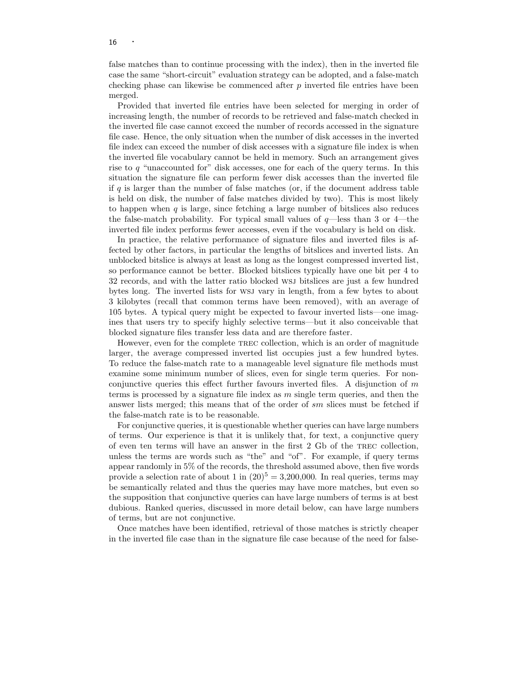false matches than to continue processing with the index), then in the inverted file case the same "short-circuit" evaluation strategy can be adopted, and a false-match checking phase can likewise be commenced after  $p$  inverted file entries have been merged.

Provided that inverted file entries have been selected for merging in order of increasing length, the number of records to be retrieved and false-match checked in the inverted file case cannot exceed the number of records accessed in the signature file case. Hence, the only situation when the number of disk accesses in the inverted file index can exceed the number of disk accesses with a signature file index is when the inverted file vocabulary cannot be held in memory. Such an arrangement gives rise to  $q$  "unaccounted for" disk accesses, one for each of the query terms. In this situation the signature file can perform fewer disk accesses than the inverted file if  $q$  is larger than the number of false matches (or, if the document address table is held on disk, the number of false matches divided by two). This is most likely to happen when  $q$  is large, since fetching a large number of bitslices also reduces the false-match probability. For typical small values of  $q$ —less than 3 or 4—the inverted file index performs fewer accesses, even if the vocabulary is held on disk.

In practice, the relative performance of signature files and inverted files is affected by other factors, in particular the lengths of bitslices and inverted lists. An unblocked bitslice is always at least as long as the longest compressed inverted list, so performance cannot be better. Blocked bitslices typically have one bit per 4 to 32 records, and with the latter ratio blocked wsj bitslices are just a few hundred bytes long. The inverted lists for wsj vary in length, from a few bytes to about 3 kilobytes (recall that common terms have been removed), with an average of 105 bytes. A typical query might be expected to favour inverted lists—one imagines that users try to specify highly selective terms—but it also conceivable that blocked signature files transfer less data and are therefore faster.

However, even for the complete trec collection, which is an order of magnitude larger, the average compressed inverted list occupies just a few hundred bytes. To reduce the false-match rate to a manageable level signature file methods must examine some minimum number of slices, even for single term queries. For nonconjunctive queries this effect further favours inverted files. A disjunction of  $m$ terms is processed by a signature file index as  $m$  single term queries, and then the answer lists merged; this means that of the order of sm slices must be fetched if the false-match rate is to be reasonable.

For conjunctive queries, it is questionable whether queries can have large numbers of terms. Our experience is that it is unlikely that, for text, a conjunctive query of even ten terms will have an answer in the first 2 Gb of the trec collection, unless the terms are words such as "the" and "of". For example, if query terms appear randomly in 5% of the records, the threshold assumed above, then five words provide a selection rate of about 1 in  $(20)^5 = 3,200,000$ . In real queries, terms may be semantically related and thus the queries may have more matches, but even so the supposition that conjunctive queries can have large numbers of terms is at best dubious. Ranked queries, discussed in more detail below, can have large numbers of terms, but are not conjunctive.

Once matches have been identified, retrieval of those matches is strictly cheaper in the inverted file case than in the signature file case because of the need for false-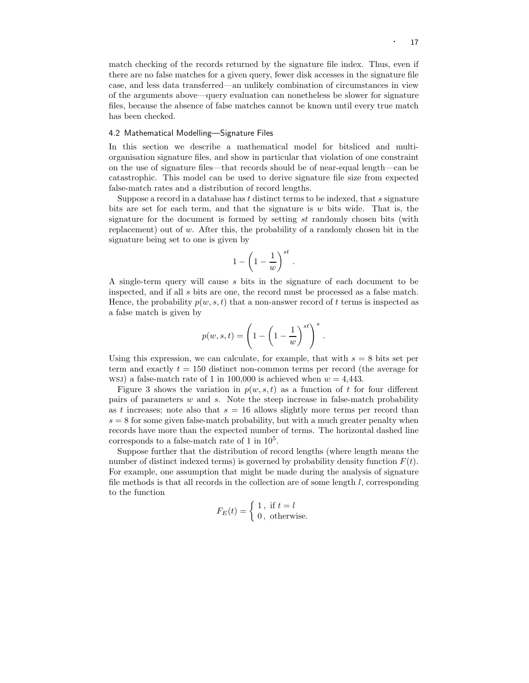match checking of the records returned by the signature file index. Thus, even if there are no false matches for a given query, fewer disk accesses in the signature file case, and less data transferred—an unlikely combination of circumstances in view of the arguments above—query evaluation can nonetheless be slower for signature files, because the absence of false matches cannot be known until every true match has been checked.

# 4.2 Mathematical Modelling—Signature Files

In this section we describe a mathematical model for bitsliced and multiorganisation signature files, and show in particular that violation of one constraint on the use of signature files—that records should be of near-equal length—can be catastrophic. This model can be used to derive signature file size from expected false-match rates and a distribution of record lengths.

Suppose a record in a database has  $t$  distinct terms to be indexed, that  $s$  signature bits are set for each term, and that the signature is  $w$  bits wide. That is, the signature for the document is formed by setting  $st$  randomly chosen bits (with replacement) out of w. After this, the probability of a randomly chosen bit in the signature being set to one is given by

$$
1-\left(1-\frac{1}{w}\right)^{st}.
$$

A single-term query will cause s bits in the signature of each document to be inspected, and if all s bits are one, the record must be processed as a false match. Hence, the probability  $p(w, s, t)$  that a non-answer record of t terms is inspected as a false match is given by

$$
p(w, s, t) = \left(1 - \left(1 - \frac{1}{w}\right)^{st}\right)^s.
$$

Using this expression, we can calculate, for example, that with  $s = 8$  bits set per term and exactly  $t = 150$  distinct non-common terms per record (the average for wsj) a false-match rate of 1 in 100,000 is achieved when  $w = 4,443$ .

Figure 3 shows the variation in  $p(w, s, t)$  as a function of t for four different pairs of parameters  $w$  and  $s$ . Note the steep increase in false-match probability as t increases; note also that  $s = 16$  allows slightly more terms per record than  $s = 8$  for some given false-match probability, but with a much greater penalty when records have more than the expected number of terms. The horizontal dashed line corresponds to a false-match rate of 1 in 10<sup>5</sup>.

Suppose further that the distribution of record lengths (where length means the number of distinct indexed terms) is governed by probability density function  $F(t)$ . For example, one assumption that might be made during the analysis of signature file methods is that all records in the collection are of some length  $l$ , corresponding to the function

$$
F_E(t) = \begin{cases} 1, & \text{if } t = l \\ 0, & \text{otherwise.} \end{cases}
$$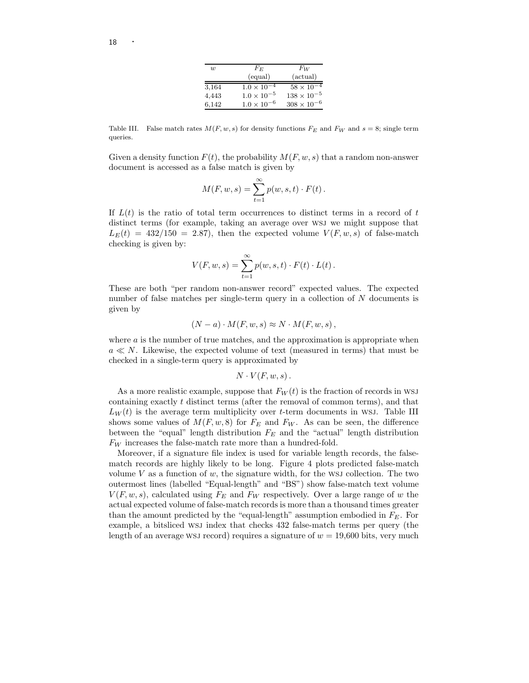| $\overline{u}$ | $F_E$                | $F_W$                |  |
|----------------|----------------------|----------------------|--|
|                | (equal)              | (actual)             |  |
| 3,164          | $1.0 \times 10^{-4}$ | $58 \times 10^{-4}$  |  |
| 4,443          | $1.0 \times 10^{-5}$ | $138 \times 10^{-5}$ |  |
| 6,142          | $1.0 \times 10^{-6}$ | $308 \times 10^{-6}$ |  |

Table III. False match rates  $M(F, w, s)$  for density functions  $F_E$  and  $F_W$  and  $s = 8$ ; single term queries.

Given a density function  $F(t)$ , the probability  $M(F, w, s)$  that a random non-answer document is accessed as a false match is given by

$$
M(F, w, s) = \sum_{t=1}^{\infty} p(w, s, t) \cdot F(t).
$$

If  $L(t)$  is the ratio of total term occurrences to distinct terms in a record of t distinct terms (for example, taking an average over wsj we might suppose that  $L_E(t) = 432/150 = 2.87$ , then the expected volume  $V(F, w, s)$  of false-match checking is given by:

$$
V(F, w, s) = \sum_{t=1}^{\infty} p(w, s, t) \cdot F(t) \cdot L(t).
$$

These are both "per random non-answer record" expected values. The expected number of false matches per single-term query in a collection of N documents is given by

$$
(N-a)\cdot M(F,w,s)\approx N\cdot M(F,w,s)\,,
$$

where  $a$  is the number of true matches, and the approximation is appropriate when  $a \ll N$ . Likewise, the expected volume of text (measured in terms) that must be checked in a single-term query is approximated by

$$
N\cdot V(F,w,s)\,.
$$

As a more realistic example, suppose that  $F_W(t)$  is the fraction of records in WSJ containing exactly t distinct terms (after the removal of common terms), and that  $L_W(t)$  is the average term multiplicity over t-term documents in WSJ. Table III shows some values of  $M(F, w, 8)$  for  $F_E$  and  $F_W$ . As can be seen, the difference between the "equal" length distribution  $F_E$  and the "actual" length distribution  $F_W$  increases the false-match rate more than a hundred-fold.

Moreover, if a signature file index is used for variable length records, the falsematch records are highly likely to be long. Figure 4 plots predicted false-match volume  $V$  as a function of  $w$ , the signature width, for the WSJ collection. The two outermost lines (labelled "Equal-length" and "BS") show false-match text volume  $V(F, w, s)$ , calculated using  $F_E$  and  $F_W$  respectively. Over a large range of w the actual expected volume of false-match records is more than a thousand times greater than the amount predicted by the "equal-length" assumption embodied in  $F_E$ . For example, a bitsliced wsj index that checks 432 false-match terms per query (the length of an average WSJ record) requires a signature of  $w = 19,600$  bits, very much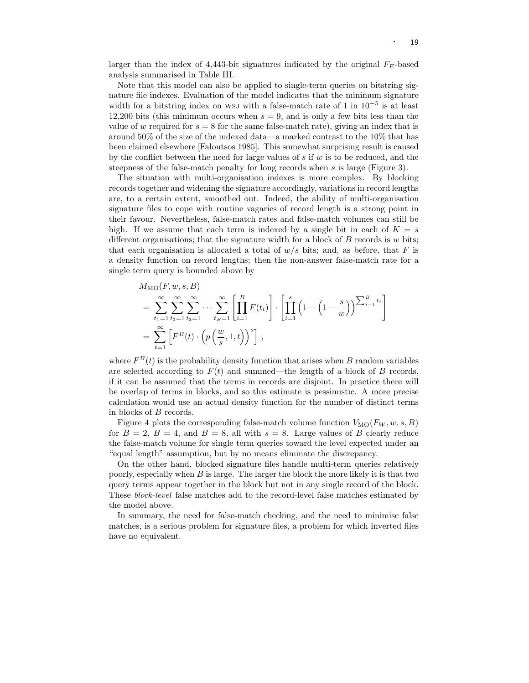larger than the index of 4,443-bit signatures indicated by the original  $F_E$ -based analysis summarised in Table III.

Note that this model can also be applied to single-term queries on bitstring signature file indexes. Evaluation of the model indicates that the minimum signature width for a bitstring index on WSJ with a false-match rate of 1 in  $10^{-5}$  is at least 12,200 bits (this minimum occurs when  $s = 9$ , and is only a few bits less than the value of w required for  $s = 8$  for the same false-match rate), giving an index that is around 50% of the size of the indexed data—a marked contrast to the 10% that has been claimed elsewhere [Faloutsos 1985]. This somewhat surprising result is caused by the conflict between the need for large values of  $s$  if  $w$  is to be reduced, and the steepness of the false-match penalty for long records when s is large (Figure 3).

The situation with multi-organisation indexes is more complex. By blocking records together and widening the signature accordingly, variations in record lengths are, to a certain extent, smoothed out. Indeed, the ability of multi-organisation signature files to cope with routine vagaries of record length is a strong point in their favour. Nevertheless, false-match rates and false-match volumes can still be high. If we assume that each term is indexed by a single bit in each of  $K = s$ different organisations; that the signature width for a block of  $B$  records is  $w$  bits; that each organisation is allocated a total of  $w/s$  bits; and, as before, that F is a density function on record lengths; then the non-answer false-match rate for a single term query is bounded above by

$$
M_{\text{MO}}(F, w, s, B)
$$
  
= 
$$
\sum_{t_1=1}^{\infty} \sum_{t_2=1}^{\infty} \sum_{t_3=1}^{\infty} \cdots \sum_{t_B=1}^{\infty} \left[ \prod_{i=1}^{B} F(t_i) \right] \cdot \left[ \prod_{i=1}^{s} \left( 1 - \left( 1 - \frac{s}{w} \right) \right)^{\sum_{i=1}^{B} t_i} \right]
$$
  
= 
$$
\sum_{t=1}^{\infty} \left[ F^{B}(t) \cdot \left( p \left( \frac{w}{s}, 1, t \right) \right)^s \right],
$$

where  $F^{B}(t)$  is the probability density function that arises when B random variables are selected according to  $F(t)$  and summed—the length of a block of B records, if it can be assumed that the terms in records are disjoint. In practice there will be overlap of terms in blocks, and so this estimate is pessimistic. A more precise calculation would use an actual density function for the number of distinct terms in blocks of B records.

Figure 4 plots the corresponding false-match volume function  $V_{\text{MO}}(F_W, w, s, B)$ for  $B = 2$ ,  $B = 4$ , and  $B = 8$ , all with  $s = 8$ . Large values of B clearly reduce the false-match volume for single term queries toward the level expected under an "equal length" assumption, but by no means eliminate the discrepancy.

On the other hand, blocked signature files handle multi-term queries relatively poorly, especially when B is large. The larger the block the more likely it is that two query terms appear together in the block but not in any single record of the block. These *block-level* false matches add to the record-level false matches estimated by the model above.

In summary, the need for false-match checking, and the need to minimise false matches, is a serious problem for signature files, a problem for which inverted files have no equivalent.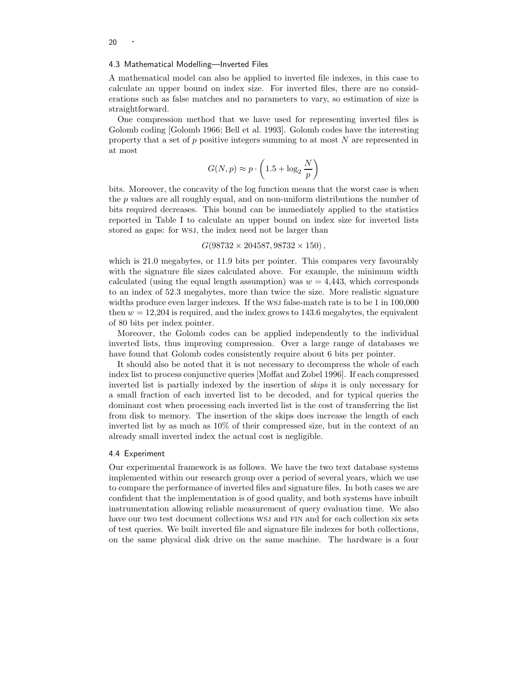#### 4.3 Mathematical Modelling—Inverted Files

A mathematical model can also be applied to inverted file indexes, in this case to calculate an upper bound on index size. For inverted files, there are no considerations such as false matches and no parameters to vary, so estimation of size is straightforward.

One compression method that we have used for representing inverted files is Golomb coding [Golomb 1966; Bell et al. 1993]. Golomb codes have the interesting property that a set of  $p$  positive integers summing to at most  $N$  are represented in at most

$$
G(N,p) \approx p \cdot \left(1.5 + \log_2 \frac{N}{p}\right)
$$

bits. Moreover, the concavity of the log function means that the worst case is when the  $p$  values are all roughly equal, and on non-uniform distributions the number of bits required decreases. This bound can be immediately applied to the statistics reported in Table I to calculate an upper bound on index size for inverted lists stored as gaps: for wsj, the index need not be larger than

## $G(98732 \times 204587, 98732 \times 150)$ ,

which is 21.0 megabytes, or 11.9 bits per pointer. This compares very favourably with the signature file sizes calculated above. For example, the minimum width calculated (using the equal length assumption) was  $w = 4,443$ , which corresponds to an index of 52.3 megabytes, more than twice the size. More realistic signature widths produce even larger indexes. If the WSJ false-match rate is to be 1 in  $100,000$ then  $w = 12,204$  is required, and the index grows to 143.6 megabytes, the equivalent of 80 bits per index pointer.

Moreover, the Golomb codes can be applied independently to the individual inverted lists, thus improving compression. Over a large range of databases we have found that Golomb codes consistently require about 6 bits per pointer.

It should also be noted that it is not necessary to decompress the whole of each index list to process conjunctive queries [Moffat and Zobel 1996]. If each compressed inverted list is partially indexed by the insertion of *skips* it is only necessary for a small fraction of each inverted list to be decoded, and for typical queries the dominant cost when processing each inverted list is the cost of transferring the list from disk to memory. The insertion of the skips does increase the length of each inverted list by as much as 10% of their compressed size, but in the context of an already small inverted index the actual cost is negligible.

## 4.4 Experiment

Our experimental framework is as follows. We have the two text database systems implemented within our research group over a period of several years, which we use to compare the performance of inverted files and signature files. In both cases we are confident that the implementation is of good quality, and both systems have inbuilt instrumentation allowing reliable measurement of query evaluation time. We also have our two test document collections wsj and  $FIN$  and for each collection six sets of test queries. We built inverted file and signature file indexes for both collections, on the same physical disk drive on the same machine. The hardware is a four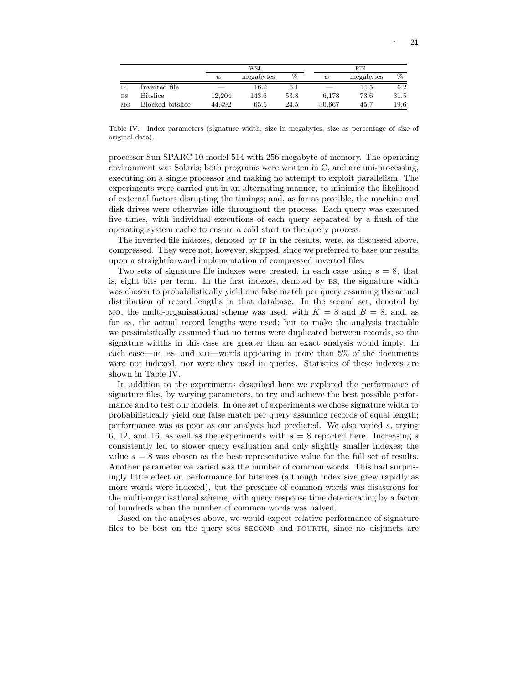|    |                  |        | WSJ       |      |        | <b>FIN</b> |      |  |
|----|------------------|--------|-----------|------|--------|------------|------|--|
|    |                  | w      | megabytes | %    | w      | megabytes  | %    |  |
| IF | Inverted file    |        | $16.2\,$  | 6.1  |        | 14.5       | 6.2  |  |
| BS | <b>Bitslice</b>  | 12.204 | 143.6     | 53.8 | 6.178  | 73.6       | 31.5 |  |
| MО | Blocked bitslice | 44.492 | 65.5      | 24.5 | 30.667 | 45.7       | 19.6 |  |

Table IV. Index parameters (signature width, size in megabytes, size as percentage of size of original data).

processor Sun SPARC 10 model 514 with 256 megabyte of memory. The operating environment was Solaris; both programs were written in C, and are uni-processing, executing on a single processor and making no attempt to exploit parallelism. The experiments were carried out in an alternating manner, to minimise the likelihood of external factors disrupting the timings; and, as far as possible, the machine and disk drives were otherwise idle throughout the process. Each query was executed five times, with individual executions of each query separated by a flush of the operating system cache to ensure a cold start to the query process.

The inverted file indexes, denoted by if in the results, were, as discussed above, compressed. They were not, however, skipped, since we preferred to base our results upon a straightforward implementation of compressed inverted files.

Two sets of signature file indexes were created, in each case using  $s = 8$ , that is, eight bits per term. In the first indexes, denoted by bs, the signature width was chosen to probabilistically yield one false match per query assuming the actual distribution of record lengths in that database. In the second set, denoted by MO, the multi-organisational scheme was used, with  $K = 8$  and  $B = 8$ , and, as for bs, the actual record lengths were used; but to make the analysis tractable we pessimistically assumed that no terms were duplicated between records, so the signature widths in this case are greater than an exact analysis would imply. In each case—if, bs, and mo—words appearing in more than 5% of the documents were not indexed, nor were they used in queries. Statistics of these indexes are shown in Table IV.

In addition to the experiments described here we explored the performance of signature files, by varying parameters, to try and achieve the best possible performance and to test our models. In one set of experiments we chose signature width to probabilistically yield one false match per query assuming records of equal length; performance was as poor as our analysis had predicted. We also varied s, trying 6, 12, and 16, as well as the experiments with  $s = 8$  reported here. Increasing s consistently led to slower query evaluation and only slightly smaller indexes; the value  $s = 8$  was chosen as the best representative value for the full set of results. Another parameter we varied was the number of common words. This had surprisingly little effect on performance for bitslices (although index size grew rapidly as more words were indexed), but the presence of common words was disastrous for the multi-organisational scheme, with query response time deteriorating by a factor of hundreds when the number of common words was halved.

Based on the analyses above, we would expect relative performance of signature files to be best on the query sets second and FOURTH, since no disjuncts are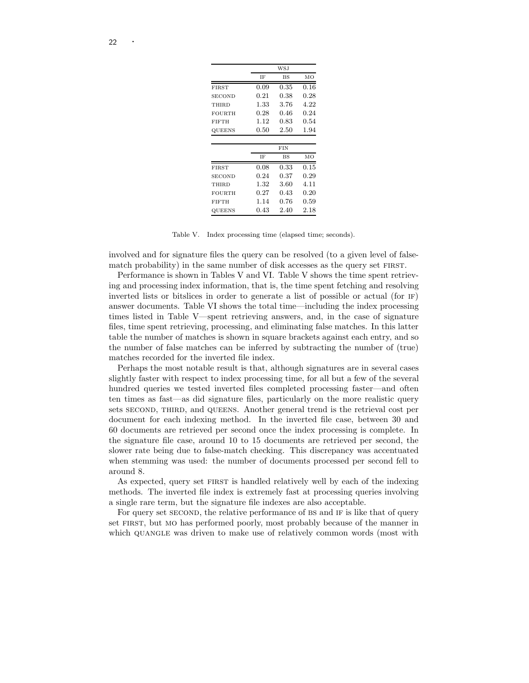|               |      | WSJ  |      |
|---------------|------|------|------|
|               | ΙF   | BS   | MO   |
| <b>FIRST</b>  | 0.09 | 0.35 | 0.16 |
| <b>SECOND</b> | 0.21 | 0.38 | 0.28 |
| THIRD         | 1.33 | 3.76 | 4.22 |
| <b>FOURTH</b> | 0.28 | 0.46 | 0.24 |
| <b>FIFTH</b>  | 1.12 | 0.83 | 0.54 |
| QUEENS        | 0.50 | 2.50 | 1.94 |
|               |      |      |      |
|               |      | FIN  |      |
|               | IF   | BS   | MO   |
| <b>FIRST</b>  | 0.08 | 0.33 | 0.15 |
| <b>SECOND</b> | 0.24 | 0.37 | 0.29 |
| <b>THIRD</b>  | 1.32 | 3.60 | 4.11 |
| <b>FOURTH</b> | 0.27 | 0.43 | 0.20 |
| <b>FIFTH</b>  | 1.14 | 0.76 | 0.59 |
| <b>QUEENS</b> | 0.43 | 2.40 | 2.18 |

Table V. Index processing time (elapsed time; seconds).

involved and for signature files the query can be resolved (to a given level of falsematch probability) in the same number of disk accesses as the query set FIRST.

Performance is shown in Tables V and VI. Table V shows the time spent retrieving and processing index information, that is, the time spent fetching and resolving inverted lists or bitslices in order to generate a list of possible or actual (for if) answer documents. Table VI shows the total time—including the index processing times listed in Table V—spent retrieving answers, and, in the case of signature files, time spent retrieving, processing, and eliminating false matches. In this latter table the number of matches is shown in square brackets against each entry, and so the number of false matches can be inferred by subtracting the number of (true) matches recorded for the inverted file index.

Perhaps the most notable result is that, although signatures are in several cases slightly faster with respect to index processing time, for all but a few of the several hundred queries we tested inverted files completed processing faster—and often ten times as fast—as did signature files, particularly on the more realistic query sets second, THIRD, and QUEENS. Another general trend is the retrieval cost per document for each indexing method. In the inverted file case, between 30 and 60 documents are retrieved per second once the index processing is complete. In the signature file case, around 10 to 15 documents are retrieved per second, the slower rate being due to false-match checking. This discrepancy was accentuated when stemming was used: the number of documents processed per second fell to around 8.

As expected, query set FIRST is handled relatively well by each of the indexing methods. The inverted file index is extremely fast at processing queries involving a single rare term, but the signature file indexes are also acceptable.

For query set SECOND, the relative performance of BS and IF is like that of query set first, but mo has performed poorly, most probably because of the manner in which quangle was driven to make use of relatively common words (most with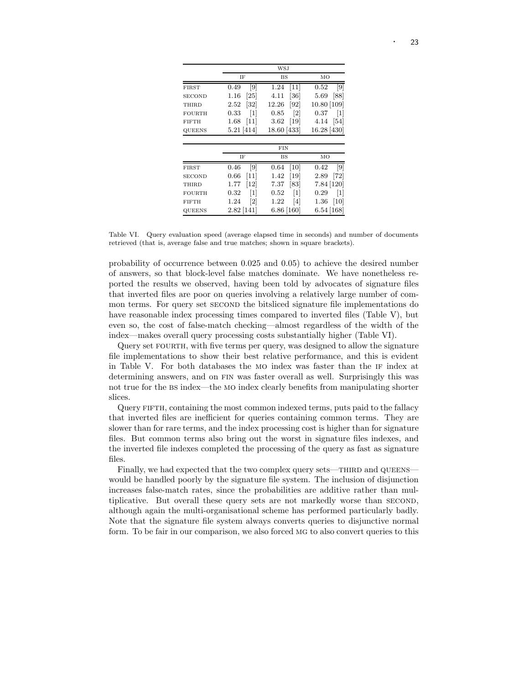|               |                                | WSJ                                   |                          |
|---------------|--------------------------------|---------------------------------------|--------------------------|
|               | IF                             | BS                                    | MO                       |
| FIRST         | 0.49<br>[9]                    | 1.24<br>[11]                          | $\left[9\right]$<br>0.52 |
| SECOND        | $\left[ 25\right]$<br>$1.16\,$ | [36]<br>4.11                          | 5.69<br>[88]             |
| THIRD         | 32 <br>$2.52\,$                | 12.26<br>$\left\lceil 92\right\rceil$ | 10.80 [109]              |
| FOURTH        | 0.33<br>$\vert 1 \vert$        | $\lceil 2 \rceil$<br>0.85             | 0.37<br> 1               |
| <b>FIFTH</b>  | 1.68<br> 11                    | 3.62<br> 19                           | 4.14<br>[54]             |
| <b>QUEENS</b> | $5.21$ [414]                   | 18.60 [433]                           | 16.28 [430]              |
|               |                                |                                       |                          |
|               |                                | <b>FIN</b>                            |                          |
|               | IF                             | BS                                    | MO                       |
| FIRST         | $\lceil 9 \rceil$<br>0.46      | 0.64<br>$[10]$                        | $\left[9\right]$<br>0.42 |
| <b>SECOND</b> | 0.66<br> 11                    | 1.42<br> 19                           | 2.89<br> 72              |
| THIRD         | $[12]$<br>1.77                 | [83]<br>7.37                          | $7.84 \, [120]$          |
| <b>FOURTH</b> | $_{0.32}$<br> 1                | 0.52<br> 1                            | 0.29                     |
| <b>FIFTH</b>  | [2]<br>1.24                    | 1.22<br> 4                            | 10 <br>1.36              |
| <b>QUEENS</b> | 2.82   141                     | $6.86\,[160]$                         | 6.54   168               |

Table VI. Query evaluation speed (average elapsed time in seconds) and number of documents retrieved (that is, average false and true matches; shown in square brackets).

probability of occurrence between 0.025 and 0.05) to achieve the desired number of answers, so that block-level false matches dominate. We have nonetheless reported the results we observed, having been told by advocates of signature files that inverted files are poor on queries involving a relatively large number of common terms. For query set  $SECOND$  the bitsliced signature file implementations do have reasonable index processing times compared to inverted files (Table V), but even so, the cost of false-match checking—almost regardless of the width of the index—makes overall query processing costs substantially higher (Table VI).

Query set fourth, with five terms per query, was designed to allow the signature file implementations to show their best relative performance, and this is evident in Table V. For both databases the mo index was faster than the if index at determining answers, and on fin was faster overall as well. Surprisingly this was not true for the bs index—the mo index clearly benefits from manipulating shorter slices.

Query fifth, containing the most common indexed terms, puts paid to the fallacy that inverted files are inefficient for queries containing common terms. They are slower than for rare terms, and the index processing cost is higher than for signature files. But common terms also bring out the worst in signature files indexes, and the inverted file indexes completed the processing of the query as fast as signature files.

Finally, we had expected that the two complex query sets—THIRD and QUEENS would be handled poorly by the signature file system. The inclusion of disjunction increases false-match rates, since the probabilities are additive rather than multiplicative. But overall these query sets are not markedly worse than second, although again the multi-organisational scheme has performed particularly badly. Note that the signature file system always converts queries to disjunctive normal form. To be fair in our comparison, we also forced mg to also convert queries to this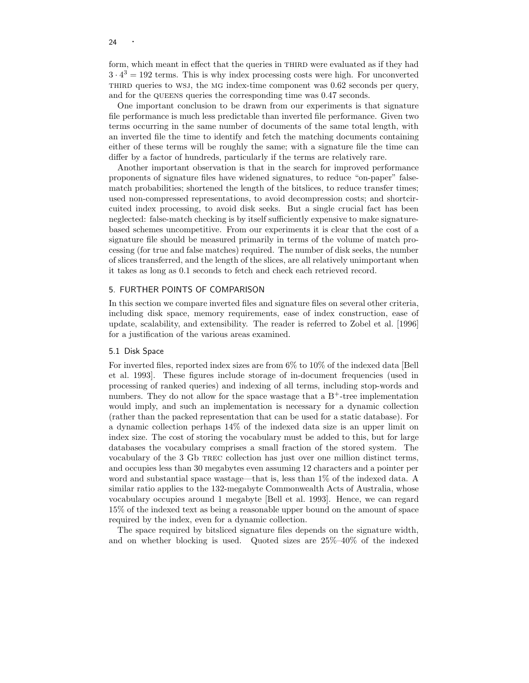form, which meant in effect that the queries in THIRD were evaluated as if they had  $3 \cdot 4^3 = 192$  terms. This is why index processing costs were high. For unconverted THIRD queries to WSJ, the MG index-time component was 0.62 seconds per query, and for the QUEENS queries the corresponding time was  $0.47$  seconds.

One important conclusion to be drawn from our experiments is that signature file performance is much less predictable than inverted file performance. Given two terms occurring in the same number of documents of the same total length, with an inverted file the time to identify and fetch the matching documents containing either of these terms will be roughly the same; with a signature file the time can differ by a factor of hundreds, particularly if the terms are relatively rare.

Another important observation is that in the search for improved performance proponents of signature files have widened signatures, to reduce "on-paper" falsematch probabilities; shortened the length of the bitslices, to reduce transfer times; used non-compressed representations, to avoid decompression costs; and shortcircuited index processing, to avoid disk seeks. But a single crucial fact has been neglected: false-match checking is by itself sufficiently expensive to make signaturebased schemes uncompetitive. From our experiments it is clear that the cost of a signature file should be measured primarily in terms of the volume of match processing (for true and false matches) required. The number of disk seeks, the number of slices transferred, and the length of the slices, are all relatively unimportant when it takes as long as 0.1 seconds to fetch and check each retrieved record.

# 5. FURTHER POINTS OF COMPARISON

In this section we compare inverted files and signature files on several other criteria, including disk space, memory requirements, ease of index construction, ease of update, scalability, and extensibility. The reader is referred to Zobel et al. [1996] for a justification of the various areas examined.

## 5.1 Disk Space

For inverted files, reported index sizes are from 6% to 10% of the indexed data [Bell et al. 1993]. These figures include storage of in-document frequencies (used in processing of ranked queries) and indexing of all terms, including stop-words and numbers. They do not allow for the space wastage that a  $B^+$ -tree implementation would imply, and such an implementation is necessary for a dynamic collection (rather than the packed representation that can be used for a static database). For a dynamic collection perhaps 14% of the indexed data size is an upper limit on index size. The cost of storing the vocabulary must be added to this, but for large databases the vocabulary comprises a small fraction of the stored system. The vocabulary of the 3 Gb trec collection has just over one million distinct terms, and occupies less than 30 megabytes even assuming 12 characters and a pointer per word and substantial space wastage—that is, less than 1% of the indexed data. A similar ratio applies to the 132-megabyte Commonwealth Acts of Australia, whose vocabulary occupies around 1 megabyte [Bell et al. 1993]. Hence, we can regard 15% of the indexed text as being a reasonable upper bound on the amount of space required by the index, even for a dynamic collection.

The space required by bitsliced signature files depends on the signature width, and on whether blocking is used. Quoted sizes are 25%–40% of the indexed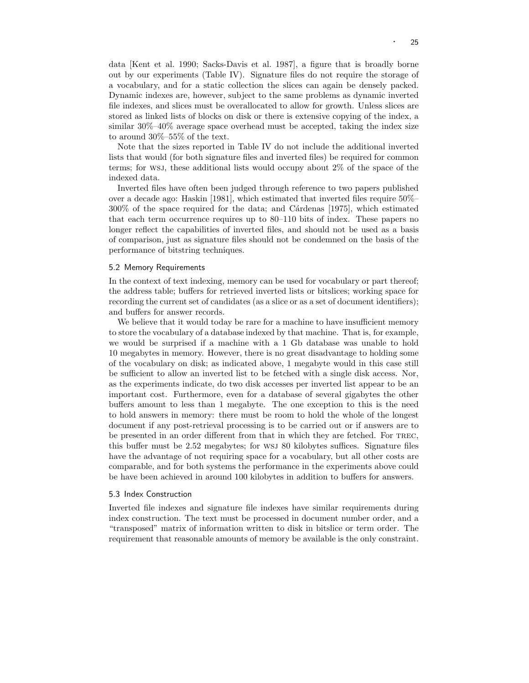data [Kent et al. 1990; Sacks-Davis et al. 1987], a figure that is broadly borne out by our experiments (Table IV). Signature files do not require the storage of a vocabulary, and for a static collection the slices can again be densely packed. Dynamic indexes are, however, subject to the same problems as dynamic inverted file indexes, and slices must be overallocated to allow for growth. Unless slices are stored as linked lists of blocks on disk or there is extensive copying of the index, a similar 30%–40% average space overhead must be accepted, taking the index size to around 30%–55% of the text.

Note that the sizes reported in Table IV do not include the additional inverted lists that would (for both signature files and inverted files) be required for common terms; for wsj, these additional lists would occupy about 2% of the space of the indexed data.

Inverted files have often been judged through reference to two papers published over a decade ago: Haskin [1981], which estimated that inverted files require 50%–  $300\%$  of the space required for the data; and Cárdenas [1975], which estimated that each term occurrence requires up to 80–110 bits of index. These papers no longer reflect the capabilities of inverted files, and should not be used as a basis of comparison, just as signature files should not be condemned on the basis of the performance of bitstring techniques.

#### 5.2 Memory Requirements

In the context of text indexing, memory can be used for vocabulary or part thereof; the address table; buffers for retrieved inverted lists or bitslices; working space for recording the current set of candidates (as a slice or as a set of document identifiers); and buffers for answer records.

We believe that it would today be rare for a machine to have insufficient memory to store the vocabulary of a database indexed by that machine. That is, for example, we would be surprised if a machine with a 1 Gb database was unable to hold 10 megabytes in memory. However, there is no great disadvantage to holding some of the vocabulary on disk; as indicated above, 1 megabyte would in this case still be sufficient to allow an inverted list to be fetched with a single disk access. Nor, as the experiments indicate, do two disk accesses per inverted list appear to be an important cost. Furthermore, even for a database of several gigabytes the other buffers amount to less than 1 megabyte. The one exception to this is the need to hold answers in memory: there must be room to hold the whole of the longest document if any post-retrieval processing is to be carried out or if answers are to be presented in an order different from that in which they are fetched. For trec, this buffer must be 2.52 megabytes; for wsj 80 kilobytes suffices. Signature files have the advantage of not requiring space for a vocabulary, but all other costs are comparable, and for both systems the performance in the experiments above could be have been achieved in around 100 kilobytes in addition to buffers for answers.

# 5.3 Index Construction

Inverted file indexes and signature file indexes have similar requirements during index construction. The text must be processed in document number order, and a "transposed" matrix of information written to disk in bitslice or term order. The requirement that reasonable amounts of memory be available is the only constraint.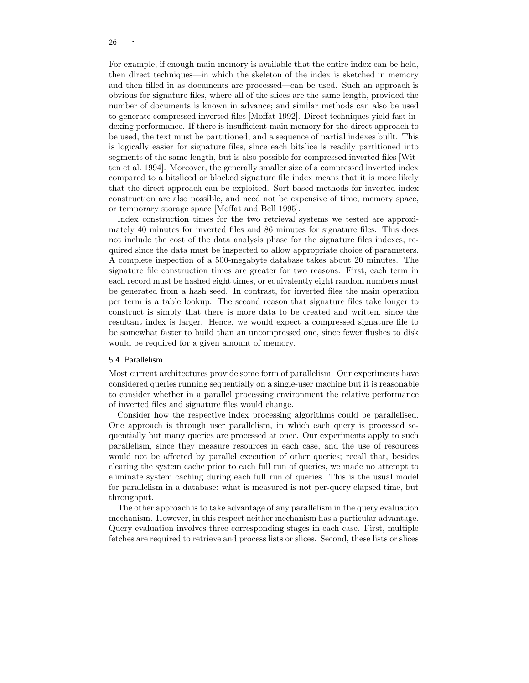For example, if enough main memory is available that the entire index can be held, then direct techniques—in which the skeleton of the index is sketched in memory and then filled in as documents are processed—can be used. Such an approach is obvious for signature files, where all of the slices are the same length, provided the number of documents is known in advance; and similar methods can also be used to generate compressed inverted files [Moffat 1992]. Direct techniques yield fast indexing performance. If there is insufficient main memory for the direct approach to be used, the text must be partitioned, and a sequence of partial indexes built. This is logically easier for signature files, since each bitslice is readily partitioned into segments of the same length, but is also possible for compressed inverted files [Witten et al. 1994]. Moreover, the generally smaller size of a compressed inverted index compared to a bitsliced or blocked signature file index means that it is more likely that the direct approach can be exploited. Sort-based methods for inverted index construction are also possible, and need not be expensive of time, memory space, or temporary storage space [Moffat and Bell 1995].

Index construction times for the two retrieval systems we tested are approximately 40 minutes for inverted files and 86 minutes for signature files. This does not include the cost of the data analysis phase for the signature files indexes, required since the data must be inspected to allow appropriate choice of parameters. A complete inspection of a 500-megabyte database takes about 20 minutes. The signature file construction times are greater for two reasons. First, each term in each record must be hashed eight times, or equivalently eight random numbers must be generated from a hash seed. In contrast, for inverted files the main operation per term is a table lookup. The second reason that signature files take longer to construct is simply that there is more data to be created and written, since the resultant index is larger. Hence, we would expect a compressed signature file to be somewhat faster to build than an uncompressed one, since fewer flushes to disk would be required for a given amount of memory.

## 5.4 Parallelism

Most current architectures provide some form of parallelism. Our experiments have considered queries running sequentially on a single-user machine but it is reasonable to consider whether in a parallel processing environment the relative performance of inverted files and signature files would change.

Consider how the respective index processing algorithms could be parallelised. One approach is through user parallelism, in which each query is processed sequentially but many queries are processed at once. Our experiments apply to such parallelism, since they measure resources in each case, and the use of resources would not be affected by parallel execution of other queries; recall that, besides clearing the system cache prior to each full run of queries, we made no attempt to eliminate system caching during each full run of queries. This is the usual model for parallelism in a database: what is measured is not per-query elapsed time, but throughput.

The other approach is to take advantage of any parallelism in the query evaluation mechanism. However, in this respect neither mechanism has a particular advantage. Query evaluation involves three corresponding stages in each case. First, multiple fetches are required to retrieve and process lists or slices. Second, these lists or slices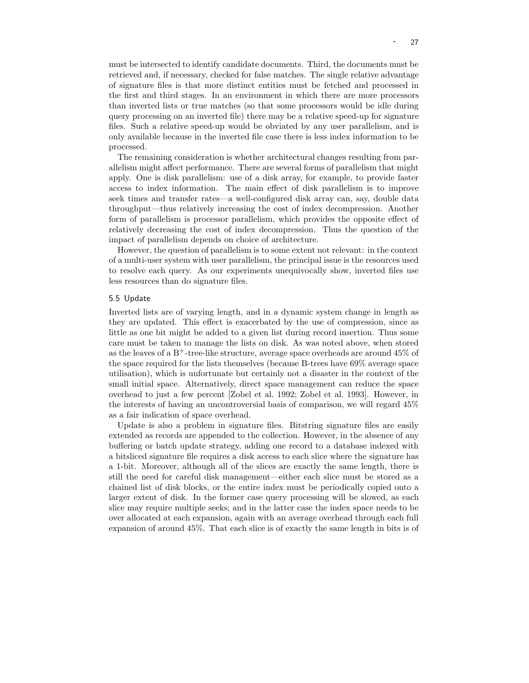must be intersected to identify candidate documents. Third, the documents must be retrieved and, if necessary, checked for false matches. The single relative advantage of signature files is that more distinct entities must be fetched and processed in the first and third stages. In an environment in which there are more processors than inverted lists or true matches (so that some processors would be idle during query processing on an inverted file) there may be a relative speed-up for signature files. Such a relative speed-up would be obviated by any user parallelism, and is only available because in the inverted file case there is less index information to be processed.

The remaining consideration is whether architectural changes resulting from parallelism might affect performance. There are several forms of parallelism that might apply. One is disk parallelism: use of a disk array, for example, to provide faster access to index information. The main effect of disk parallelism is to improve seek times and transfer rates—a well-configured disk array can, say, double data throughput—thus relatively increasing the cost of index decompression. Another form of parallelism is processor parallelism, which provides the opposite effect of relatively decreasing the cost of index decompression. Thus the question of the impact of parallelism depends on choice of architecture.

However, the question of parallelism is to some extent not relevant: in the context of a multi-user system with user parallelism, the principal issue is the resources used to resolve each query. As our experiments unequivocally show, inverted files use less resources than do signature files.

# 5.5 Update

Inverted lists are of varying length, and in a dynamic system change in length as they are updated. This effect is exacerbated by the use of compression, since as little as one bit might be added to a given list during record insertion. Thus some care must be taken to manage the lists on disk. As was noted above, when stored as the leaves of a  $B^+$ -tree-like structure, average space overheads are around  $45\%$  of the space required for the lists themselves (because B-trees have 69% average space utilisation), which is unfortunate but certainly not a disaster in the context of the small initial space. Alternatively, direct space management can reduce the space overhead to just a few percent [Zobel et al. 1992; Zobel et al. 1993]. However, in the interests of having an uncontroversial basis of comparison, we will regard 45% as a fair indication of space overhead.

Update is also a problem in signature files. Bitstring signature files are easily extended as records are appended to the collection. However, in the absence of any buffering or batch update strategy, adding one record to a database indexed with a bitsliced signature file requires a disk access to each slice where the signature has a 1-bit. Moreover, although all of the slices are exactly the same length, there is still the need for careful disk management—either each slice must be stored as a chained list of disk blocks, or the entire index must be periodically copied onto a larger extent of disk. In the former case query processing will be slowed, as each slice may require multiple seeks; and in the latter case the index space needs to be over allocated at each expansion, again with an average overhead through each full expansion of around 45%. That each slice is of exactly the same length in bits is of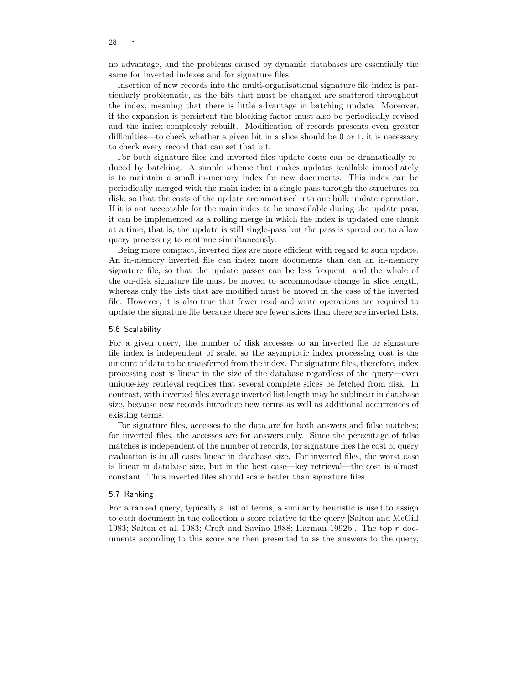no advantage, and the problems caused by dynamic databases are essentially the same for inverted indexes and for signature files.

Insertion of new records into the multi-organisational signature file index is particularly problematic, as the bits that must be changed are scattered throughout the index, meaning that there is little advantage in batching update. Moreover, if the expansion is persistent the blocking factor must also be periodically revised and the index completely rebuilt. Modification of records presents even greater difficulties—to check whether a given bit in a slice should be 0 or 1, it is necessary to check every record that can set that bit.

For both signature files and inverted files update costs can be dramatically reduced by batching. A simple scheme that makes updates available immediately is to maintain a small in-memory index for new documents. This index can be periodically merged with the main index in a single pass through the structures on disk, so that the costs of the update are amortised into one bulk update operation. If it is not acceptable for the main index to be unavailable during the update pass, it can be implemented as a rolling merge in which the index is updated one chunk at a time, that is, the update is still single-pass but the pass is spread out to allow query processing to continue simultaneously.

Being more compact, inverted files are more efficient with regard to such update. An in-memory inverted file can index more documents than can an in-memory signature file, so that the update passes can be less frequent; and the whole of the on-disk signature file must be moved to accommodate change in slice length, whereas only the lists that are modified must be moved in the case of the inverted file. However, it is also true that fewer read and write operations are required to update the signature file because there are fewer slices than there are inverted lists.

#### 5.6 Scalability

For a given query, the number of disk accesses to an inverted file or signature file index is independent of scale, so the asymptotic index processing cost is the amount of data to be transferred from the index. For signature files, therefore, index processing cost is linear in the size of the database regardless of the query—even unique-key retrieval requires that several complete slices be fetched from disk. In contrast, with inverted files average inverted list length may be sublinear in database size, because new records introduce new terms as well as additional occurrences of existing terms.

For signature files, accesses to the data are for both answers and false matches; for inverted files, the accesses are for answers only. Since the percentage of false matches is independent of the number of records, for signature files the cost of query evaluation is in all cases linear in database size. For inverted files, the worst case is linear in database size, but in the best case—key retrieval—the cost is almost constant. Thus inverted files should scale better than signature files.

## 5.7 Ranking

For a ranked query, typically a list of terms, a similarity heuristic is used to assign to each document in the collection a score relative to the query [Salton and McGill 1983; Salton et al. 1983; Croft and Savino 1988; Harman 1992b]. The top  $r$  documents according to this score are then presented to as the answers to the query,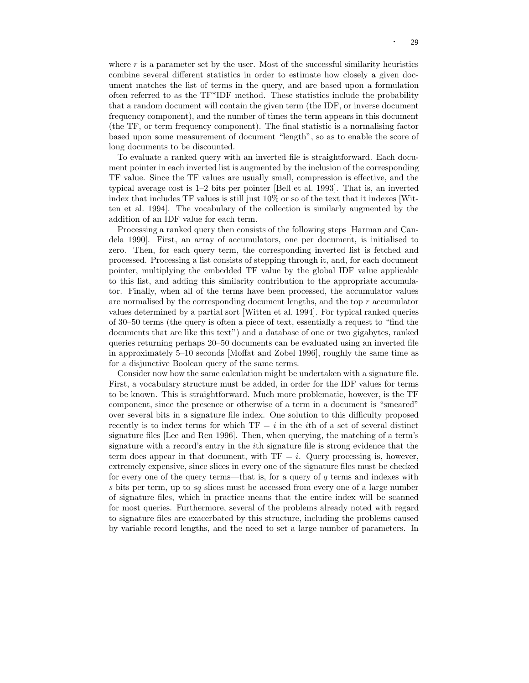where  $r$  is a parameter set by the user. Most of the successful similarity heuristics combine several different statistics in order to estimate how closely a given document matches the list of terms in the query, and are based upon a formulation often referred to as the TF\*IDF method. These statistics include the probability that a random document will contain the given term (the IDF, or inverse document frequency component), and the number of times the term appears in this document (the TF, or term frequency component). The final statistic is a normalising factor based upon some measurement of document "length", so as to enable the score of long documents to be discounted.

To evaluate a ranked query with an inverted file is straightforward. Each document pointer in each inverted list is augmented by the inclusion of the corresponding TF value. Since the TF values are usually small, compression is effective, and the typical average cost is 1–2 bits per pointer [Bell et al. 1993]. That is, an inverted index that includes TF values is still just 10% or so of the text that it indexes [Witten et al. 1994]. The vocabulary of the collection is similarly augmented by the addition of an IDF value for each term.

Processing a ranked query then consists of the following steps [Harman and Candela 1990]. First, an array of accumulators, one per document, is initialised to zero. Then, for each query term, the corresponding inverted list is fetched and processed. Processing a list consists of stepping through it, and, for each document pointer, multiplying the embedded TF value by the global IDF value applicable to this list, and adding this similarity contribution to the appropriate accumulator. Finally, when all of the terms have been processed, the accumulator values are normalised by the corresponding document lengths, and the top  $r$  accumulator values determined by a partial sort [Witten et al. 1994]. For typical ranked queries of 30–50 terms (the query is often a piece of text, essentially a request to "find the documents that are like this text") and a database of one or two gigabytes, ranked queries returning perhaps 20–50 documents can be evaluated using an inverted file in approximately 5–10 seconds [Moffat and Zobel 1996], roughly the same time as for a disjunctive Boolean query of the same terms.

Consider now how the same calculation might be undertaken with a signature file. First, a vocabulary structure must be added, in order for the IDF values for terms to be known. This is straightforward. Much more problematic, however, is the TF component, since the presence or otherwise of a term in a document is "smeared" over several bits in a signature file index. One solution to this difficulty proposed recently is to index terms for which  $TF = i$  in the *i*th of a set of several distinct signature files [Lee and Ren 1996]. Then, when querying, the matching of a term's signature with a record's entry in the ith signature file is strong evidence that the term does appear in that document, with  $TF = i$ . Query processing is, however, extremely expensive, since slices in every one of the signature files must be checked for every one of the query terms—that is, for a query of  $q$  terms and indexes with s bits per term, up to sq slices must be accessed from every one of a large number of signature files, which in practice means that the entire index will be scanned for most queries. Furthermore, several of the problems already noted with regard to signature files are exacerbated by this structure, including the problems caused by variable record lengths, and the need to set a large number of parameters. In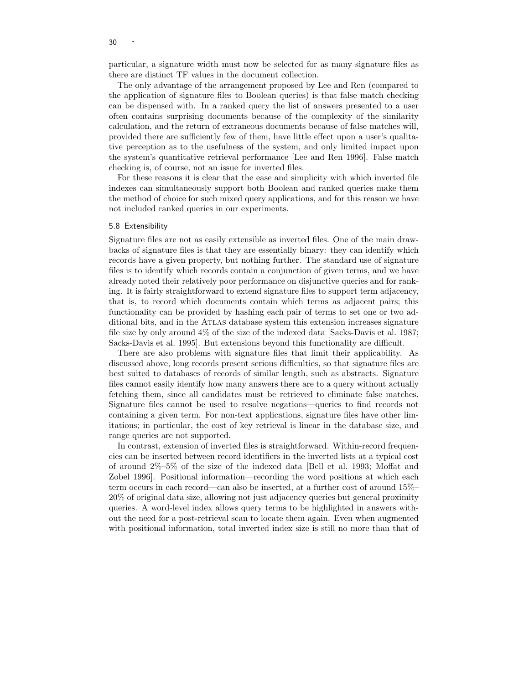particular, a signature width must now be selected for as many signature files as there are distinct TF values in the document collection.

The only advantage of the arrangement proposed by Lee and Ren (compared to the application of signature files to Boolean queries) is that false match checking can be dispensed with. In a ranked query the list of answers presented to a user often contains surprising documents because of the complexity of the similarity calculation, and the return of extraneous documents because of false matches will, provided there are sufficiently few of them, have little effect upon a user's qualitative perception as to the usefulness of the system, and only limited impact upon the system's quantitative retrieval performance [Lee and Ren 1996]. False match checking is, of course, not an issue for inverted files.

For these reasons it is clear that the ease and simplicity with which inverted file indexes can simultaneously support both Boolean and ranked queries make them the method of choice for such mixed query applications, and for this reason we have not included ranked queries in our experiments.

## 5.8 Extensibility

Signature files are not as easily extensible as inverted files. One of the main drawbacks of signature files is that they are essentially binary: they can identify which records have a given property, but nothing further. The standard use of signature files is to identify which records contain a conjunction of given terms, and we have already noted their relatively poor performance on disjunctive queries and for ranking. It is fairly straightforward to extend signature files to support term adjacency, that is, to record which documents contain which terms as adjacent pairs; this functionality can be provided by hashing each pair of terms to set one or two additional bits, and in the Atlas database system this extension increases signature file size by only around 4% of the size of the indexed data [Sacks-Davis et al. 1987; Sacks-Davis et al. 1995]. But extensions beyond this functionality are difficult.

There are also problems with signature files that limit their applicability. As discussed above, long records present serious difficulties, so that signature files are best suited to databases of records of similar length, such as abstracts. Signature files cannot easily identify how many answers there are to a query without actually fetching them, since all candidates must be retrieved to eliminate false matches. Signature files cannot be used to resolve negations—queries to find records not containing a given term. For non-text applications, signature files have other limitations; in particular, the cost of key retrieval is linear in the database size, and range queries are not supported.

In contrast, extension of inverted files is straightforward. Within-record frequencies can be inserted between record identifiers in the inverted lists at a typical cost of around 2%–5% of the size of the indexed data [Bell et al. 1993; Moffat and Zobel 1996]. Positional information—recording the word positions at which each term occurs in each record—can also be inserted, at a further cost of around 15%– 20% of original data size, allowing not just adjacency queries but general proximity queries. A word-level index allows query terms to be highlighted in answers without the need for a post-retrieval scan to locate them again. Even when augmented with positional information, total inverted index size is still no more than that of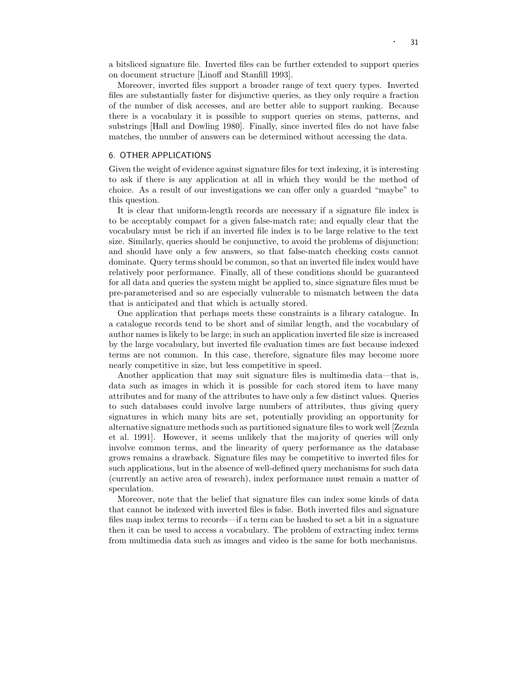a bitsliced signature file. Inverted files can be further extended to support queries on document structure [Linoff and Stanfill 1993].

Moreover, inverted files support a broader range of text query types. Inverted files are substantially faster for disjunctive queries, as they only require a fraction of the number of disk accesses, and are better able to support ranking. Because there is a vocabulary it is possible to support queries on stems, patterns, and substrings [Hall and Dowling 1980]. Finally, since inverted files do not have false matches, the number of answers can be determined without accessing the data.

# 6. OTHER APPLICATIONS

Given the weight of evidence against signature files for text indexing, it is interesting to ask if there is any application at all in which they would be the method of choice. As a result of our investigations we can offer only a guarded "maybe" to this question.

It is clear that uniform-length records are necessary if a signature file index is to be acceptably compact for a given false-match rate; and equally clear that the vocabulary must be rich if an inverted file index is to be large relative to the text size. Similarly, queries should be conjunctive, to avoid the problems of disjunction; and should have only a few answers, so that false-match checking costs cannot dominate. Query terms should be common, so that an inverted file index would have relatively poor performance. Finally, all of these conditions should be guaranteed for all data and queries the system might be applied to, since signature files must be pre-parameterised and so are especially vulnerable to mismatch between the data that is anticipated and that which is actually stored.

One application that perhaps meets these constraints is a library catalogue. In a catalogue records tend to be short and of similar length, and the vocabulary of author names is likely to be large; in such an application inverted file size is increased by the large vocabulary, but inverted file evaluation times are fast because indexed terms are not common. In this case, therefore, signature files may become more nearly competitive in size, but less competitive in speed.

Another application that may suit signature files is multimedia data—that is, data such as images in which it is possible for each stored item to have many attributes and for many of the attributes to have only a few distinct values. Queries to such databases could involve large numbers of attributes, thus giving query signatures in which many bits are set, potentially providing an opportunity for alternative signature methods such as partitioned signature files to work well [Zezula et al. 1991]. However, it seems unlikely that the majority of queries will only involve common terms, and the linearity of query performance as the database grows remains a drawback. Signature files may be competitive to inverted files for such applications, but in the absence of well-defined query mechanisms for such data (currently an active area of research), index performance must remain a matter of speculation.

Moreover, note that the belief that signature files can index some kinds of data that cannot be indexed with inverted files is false. Both inverted files and signature files map index terms to records—if a term can be hashed to set a bit in a signature then it can be used to access a vocabulary. The problem of extracting index terms from multimedia data such as images and video is the same for both mechanisms.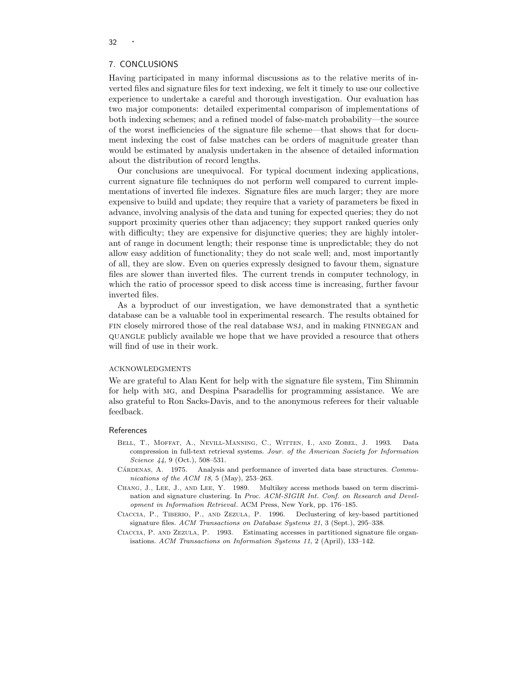### 7. CONCLUSIONS

Having participated in many informal discussions as to the relative merits of inverted files and signature files for text indexing, we felt it timely to use our collective experience to undertake a careful and thorough investigation. Our evaluation has two major components: detailed experimental comparison of implementations of both indexing schemes; and a refined model of false-match probability—the source of the worst inefficiencies of the signature file scheme—that shows that for document indexing the cost of false matches can be orders of magnitude greater than would be estimated by analysis undertaken in the absence of detailed information about the distribution of record lengths.

Our conclusions are unequivocal. For typical document indexing applications, current signature file techniques do not perform well compared to current implementations of inverted file indexes. Signature files are much larger; they are more expensive to build and update; they require that a variety of parameters be fixed in advance, involving analysis of the data and tuning for expected queries; they do not support proximity queries other than adjacency; they support ranked queries only with difficulty; they are expensive for disjunctive queries; they are highly intolerant of range in document length; their response time is unpredictable; they do not allow easy addition of functionality; they do not scale well; and, most importantly of all, they are slow. Even on queries expressly designed to favour them, signature files are slower than inverted files. The current trends in computer technology, in which the ratio of processor speed to disk access time is increasing, further favour inverted files.

As a byproduct of our investigation, we have demonstrated that a synthetic database can be a valuable tool in experimental research. The results obtained for fin closely mirrored those of the real database wsj, and in making finnegan and quangle publicly available we hope that we have provided a resource that others will find of use in their work.

## ACKNOWLEDGMENTS

We are grateful to Alan Kent for help with the signature file system, Tim Shimmin for help with mg, and Despina Psaradellis for programming assistance. We are also grateful to Ron Sacks-Davis, and to the anonymous referees for their valuable feedback.

#### References

- Bell, T., Moffat, A., Nevill-Manning, C., Witten, I., and Zobel, J. 1993. Data compression in full-text retrieval systems. Jour. of the American Society for Information Science 44, 9 (Oct.), 508–531.
- CÁRDENAS, A. <sup>1975.</sup> Analysis and performance of inverted data base structures. Communications of the  $ACM$  18, 5 (May), 253-263.
- Chang, J., Lee, J., and Lee, Y. 1989. Multikey access methods based on term discrimination and signature clustering. In Proc. ACM-SIGIR Int. Conf. on Research and Development in Information Retrieval. ACM Press, New York, pp. 176–185.
- Ciaccia, P., Tiberio, P., and Zezula, P. 1996. Declustering of key-based partitioned signature files. ACM Transactions on Database Systems 21, 3 (Sept.), 295-338.
- Ciaccia, P. and Zezula, P. 1993. Estimating accesses in partitioned signature file organisations. ACM Transactions on Information Systems 11, 2 (April), 133–142.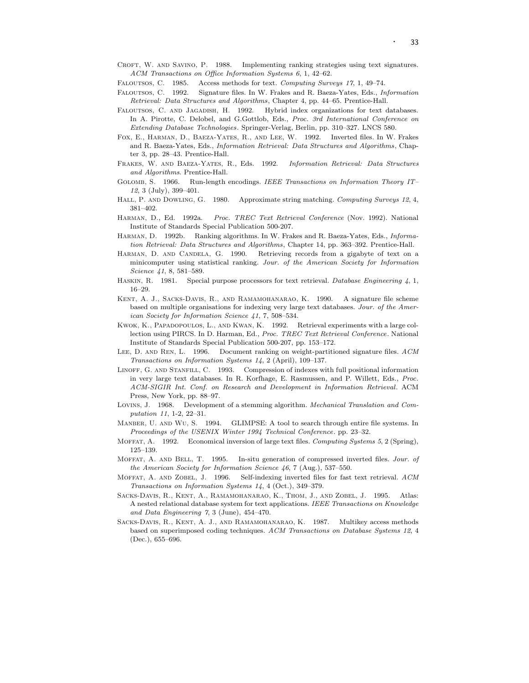- CROFT, W. AND SAVINO, P. 1988. Implementing ranking strategies using text signatures. ACM Transactions on Office Information Systems 6, 1, 42–62.
- Faloutsos, C. 1985. Access methods for text. Computing Surveys 17, 1, 49–74.
- Faloutsos, C. 1992. Signature files. In W. Frakes and R. Baeza-Yates, Eds., Information Retrieval: Data Structures and Algorithms, Chapter 4, pp. 44–65. Prentice-Hall.
- Faloutsos, C. and Jagadish, H. 1992. Hybrid index organizations for text databases. In A. Pirotte, C. Delobel, and G.Gottlob, Eds., Proc. 3rd International Conference on Extending Database Technologies. Springer-Verlag, Berlin, pp. 310–327. LNCS 580.
- Fox, E., Harman, D., Baeza-Yates, R., and Lee, W. 1992. Inverted files. In W. Frakes and R. Baeza-Yates, Eds., Information Retrieval: Data Structures and Algorithms, Chapter 3, pp. 28–43. Prentice-Hall.
- Frakes, W. and Baeza-Yates, R., Eds. 1992. Information Retrieval: Data Structures and Algorithms. Prentice-Hall.
- Golomb, S. 1966. Run-length encodings. IEEE Transactions on Information Theory IT– 12, 3 (July), 399–401.
- HALL, P. AND DOWLING, G. 1980. Approximate string matching. Computing Surveys 12, 4, 381–402.
- Harman, D., Ed. 1992a. Proc. TREC Text Retrieval Conference (Nov. 1992). National Institute of Standards Special Publication 500-207.
- Harman, D. 1992b. Ranking algorithms. In W. Frakes and R. Baeza-Yates, Eds., Information Retrieval: Data Structures and Algorithms, Chapter 14, pp. 363–392. Prentice-Hall.
- Harman, D. and Candela, G. 1990. Retrieving records from a gigabyte of text on a minicomputer using statistical ranking. Jour. of the American Society for Information Science 41, 8, 581–589.
- HASKIN, R. 1981. Special purpose processors for text retrieval. Database Engineering 4, 1, 16–29.
- Kent, A. J., Sacks-Davis, R., and Ramamohanarao, K. 1990. A signature file scheme based on multiple organisations for indexing very large text databases. Jour. of the American Society for Information Science 41, 7, 508–534.
- KWOK, K., PAPADOPOULOS, L., AND KWAN, K. 1992. Retrieval experiments with a large collection using PIRCS. In D. Harman, Ed., Proc. TREC Text Retrieval Conference. National Institute of Standards Special Publication 500-207, pp. 153–172.
- LEE, D. AND REN, L. 1996. Document ranking on weight-partitioned signature files. ACM Transactions on Information Systems 14, 2 (April), 109–137.
- Linoff, G. and Stanfill, C. 1993. Compression of indexes with full positional information in very large text databases. In R. Korfhage, E. Rasmussen, and P. Willett, Eds., Proc. ACM-SIGIR Int. Conf. on Research and Development in Information Retrieval. ACM Press, New York, pp. 88–97.
- Lovins, J. 1968. Development of a stemming algorithm. Mechanical Translation and Computation 11, 1-2, 22–31.
- Manber, U. and Wu, S. 1994. GLIMPSE: A tool to search through entire file systems. In Proceedings of the USENIX Winter 1994 Technical Conference. pp. 23–32.
- MOFFAT, A. 1992. Economical inversion of large text files. Computing Systems 5, 2 (Spring), 125–139.
- MOFFAT, A. AND BELL, T. 1995. In-situ generation of compressed inverted files. Jour. of the American Society for Information Science 46, 7 (Aug.), 537–550.
- MOFFAT, A. AND ZOBEL, J. 1996. Self-indexing inverted files for fast text retrieval. ACM Transactions on Information Systems 14, 4 (Oct.), 349–379.
- Sacks-Davis, R., Kent, A., Ramamohanarao, K., Thom, J., and Zobel, J. 1995. Atlas: A nested relational database system for text applications. IEEE Transactions on Knowledge and Data Engineering 7, 3 (June), 454–470.
- SACKS-DAVIS, R., KENT, A. J., AND RAMAMOHANARAO, K. 1987. Multikey access methods based on superimposed coding techniques. ACM Transactions on Database Systems 12, 4 (Dec.), 655–696.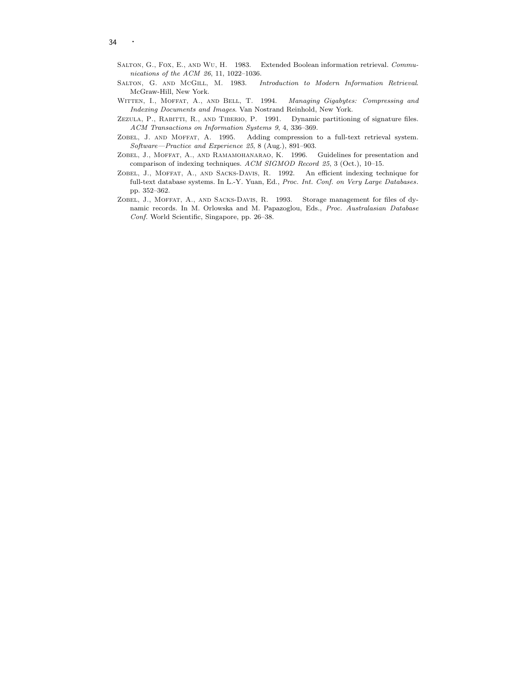- <sup>34</sup> ·
	- SALTON, G., FOX, E., AND WU, H. 1983. Extended Boolean information retrieval. Communications of the ACM 26, 11, 1022–1036.
	- SALTON, G. AND MCGILL, M. 1983. Introduction to Modern Information Retrieval. McGraw-Hill, New York.
	- Witten, I., Moffat, A., and Bell, T. 1994. Managing Gigabytes: Compressing and Indexing Documents and Images. Van Nostrand Reinhold, New York.
	- ZEZULA, P., RABITTI, R., AND TIBERIO, P. 1991. Dynamic partitioning of signature files. ACM Transactions on Information Systems 9, 4, 336–369.
	- ZOBEL, J. AND MOFFAT, A. 1995. Adding compression to a full-text retrieval system. Software—Practice and Experience 25, 8 (Aug.), 891–903.
	- ZOBEL, J., MOFFAT, A., AND RAMAMOHANARAO, K. 1996. Guidelines for presentation and comparison of indexing techniques. ACM SIGMOD Record 25, 3 (Oct.), 10–15.
	- Zobel, J., Moffat, A., and Sacks-Davis, R. 1992. An efficient indexing technique for full-text database systems. In L.-Y. Yuan, Ed., Proc. Int. Conf. on Very Large Databases. pp. 352–362.
	- Zobel, J., Moffat, A., and Sacks-Davis, R. 1993. Storage management for files of dynamic records. In M. Orlowska and M. Papazoglou, Eds., Proc. Australasian Database Conf. World Scientific, Singapore, pp. 26–38.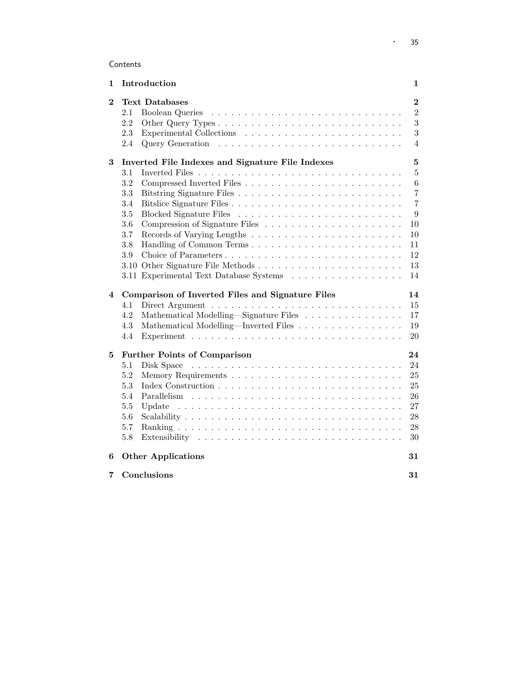| Contents |  |
|----------|--|
|----------|--|

|          | Introduction                                                                  | 1                |
|----------|-------------------------------------------------------------------------------|------------------|
| $\bf{2}$ | <b>Text Databases</b>                                                         | $\overline{2}$   |
|          | 2.1<br>Boolean Queries                                                        | $\overline{2}$   |
|          | 2.2                                                                           | 3                |
|          | 2.3                                                                           | 3                |
|          | 2.4                                                                           | $\overline{4}$   |
| 3        | Inverted File Indexes and Signature File Indexes                              | $\bf{5}$         |
|          | $3.1\,$                                                                       | $\overline{5}$   |
|          | 3.2                                                                           | $\boldsymbol{6}$ |
|          | 3.3                                                                           | $\overline{7}$   |
|          | 3.4                                                                           | $\overline{7}$   |
|          | 3.5                                                                           | $\boldsymbol{9}$ |
|          | 3.6                                                                           | 10               |
|          | 3.7                                                                           |                  |
|          | 3.8                                                                           | 10               |
|          |                                                                               | 11               |
|          | 3.9                                                                           | 12               |
|          |                                                                               | 13               |
|          | 3.11 Experimental Text Database Systems                                       | 14               |
| 4        | Comparison of Inverted Files and Signature Files                              | 14               |
|          | 4.1                                                                           | 15               |
|          | 4.2<br>Mathematical Modelling—Signature Files $\dots \dots \dots \dots \dots$ | 17               |
|          | Mathematical Modelling—Inverted Files<br>4.3                                  |                  |
|          |                                                                               |                  |
|          | 4.4                                                                           | 19<br>20         |
|          |                                                                               |                  |
| 5        | <b>Further Points of Comparison</b>                                           | 24               |
|          | 5.1<br>Disk Space                                                             | 24               |
|          | 5.2                                                                           | 25               |
|          | 5.3                                                                           | 25               |
|          | 5.4<br>Parallelism                                                            | 26               |
|          | 5.5<br>Update                                                                 | $27\,$           |
|          | 5.6                                                                           | 28               |
|          | 5.7                                                                           | 28               |
|          | 5.8                                                                           | 30               |
| 6        | <b>Other Applications</b>                                                     | 31               |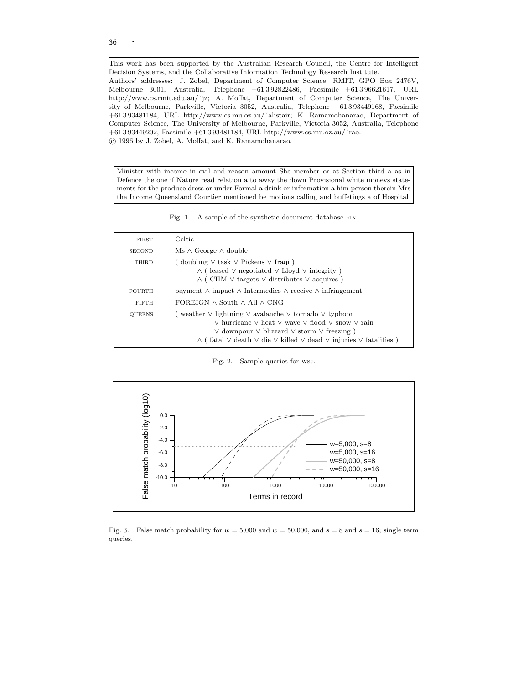This work has been supported by the Australian Research Council, the Centre for Intelligent Decision Systems, and the Collaborative Information Technology Research Institute. Authors' addresses: J. Zobel, Department of Computer Science, RMIT, GPO Box 2476V, Melbourne 3001, Australia, Telephone +61 3 92822486, Facsimile +61 3 96621617, URL http://www.cs.rmit.edu.au/˜jz; A. Moffat, Department of Computer Science, The University of Melbourne, Parkville, Victoria 3052, Australia, Telephone +61 3 93449168, Facsimile +61 3 93481184, URL http://www.cs.mu.oz.au/˜alistair; K. Ramamohanarao, Department of Computer Science, The University of Melbourne, Parkville, Victoria 3052, Australia, Telephone +61 3 93449202, Facsimile +61 3 93481184, URL http://www.cs.mu.oz.au/˜rao. c 1996 by J. Zobel, A. Moffat, and K. Ramamohanarao.

Minister with income in evil and reason amount She member or at Section third a as in Defence the one if Nature read relation a to away the down Provisional white moneys statements for the produce dress or under Formal a drink or information a him person therein Mrs the Income Queensland Courtier mentioned be motions calling and buffetings a of Hospital

| FIRST         | Celtic                                                                                                                                                                                                                                                                                                                             |
|---------------|------------------------------------------------------------------------------------------------------------------------------------------------------------------------------------------------------------------------------------------------------------------------------------------------------------------------------------|
| <b>SECOND</b> | $Ms \wedge George \wedge double$                                                                                                                                                                                                                                                                                                   |
| THIRD         | $($ doubling $\vee$ task $\vee$ Pickens $\vee$ Iraqi)<br>$\wedge$ (leased $\vee$ negotiated $\vee$ Lloyd $\vee$ integrity)<br>$\wedge$ (CHM $\vee$ targets $\vee$ distributes $\vee$ acquires)                                                                                                                                     |
| <b>FOURTH</b> | payment $\wedge$ impact $\wedge$ Intermedics $\wedge$ receive $\wedge$ infringement                                                                                                                                                                                                                                                |
| <b>FIFTH</b>  | FOREIGN $\land$ South $\land$ All $\land$ CNG                                                                                                                                                                                                                                                                                      |
| <b>QUEENS</b> | (weather $\vee$ lightning $\vee$ avalanche $\vee$ tornado $\vee$ typhoon<br>$\vee$ hurricane $\vee$ heat $\vee$ wave $\vee$ flood $\vee$ snow $\vee$ rain<br>$\vee$ downpour $\vee$ blizzard $\vee$ storm $\vee$ freezing)<br>$\wedge$ (fatal $\vee$ death $\vee$ die $\vee$ killed $\vee$ dead $\vee$ injuries $\vee$ fatalities) |
|               |                                                                                                                                                                                                                                                                                                                                    |

Fig. 1. A sample of the synthetic document database fin.

Fig. 2. Sample queries for wsj.



Fig. 3. False match probability for  $w = 5,000$  and  $w = 50,000$ , and  $s = 8$  and  $s = 16$ ; single term queries.